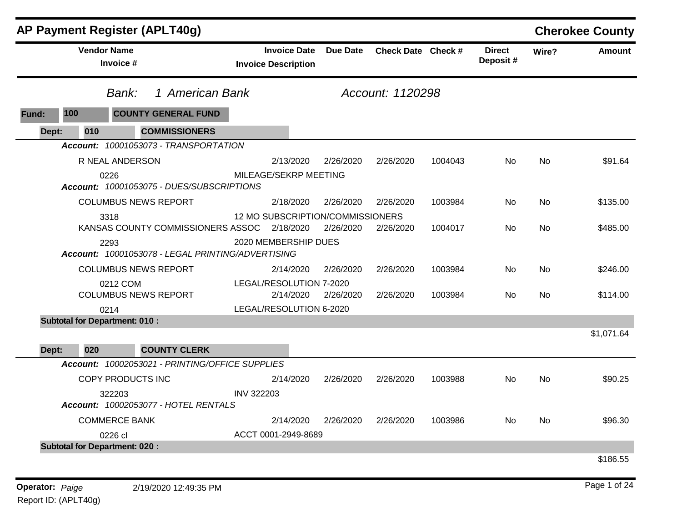|                                      | AP Payment Register (APLT40g)                     |                         |                                                                      |                    |         |                           |           | <b>Cherokee County</b> |
|--------------------------------------|---------------------------------------------------|-------------------------|----------------------------------------------------------------------|--------------------|---------|---------------------------|-----------|------------------------|
|                                      | <b>Vendor Name</b><br>Invoice #                   |                         | <b>Due Date</b><br><b>Invoice Date</b><br><b>Invoice Description</b> | Check Date Check # |         | <b>Direct</b><br>Deposit# | Wire?     | <b>Amount</b>          |
|                                      | 1 American Bank<br>Bank:                          |                         |                                                                      | Account: 1120298   |         |                           |           |                        |
| 100<br>Fund:                         | <b>COUNTY GENERAL FUND</b>                        |                         |                                                                      |                    |         |                           |           |                        |
| Dept:<br>010                         | <b>COMMISSIONERS</b>                              |                         |                                                                      |                    |         |                           |           |                        |
|                                      | Account: 10001053073 - TRANSPORTATION             |                         |                                                                      |                    |         |                           |           |                        |
|                                      | R NEAL ANDERSON                                   | 2/13/2020               | 2/26/2020                                                            | 2/26/2020          | 1004043 | No.                       | No        | \$91.64                |
|                                      | 0226<br>Account: 10001053075 - DUES/SUBSCRIPTIONS | MILEAGE/SEKRP MEETING   |                                                                      |                    |         |                           |           |                        |
|                                      | <b>COLUMBUS NEWS REPORT</b>                       | 2/18/2020               | 2/26/2020                                                            | 2/26/2020          | 1003984 | No                        | No        | \$135.00               |
|                                      | 3318                                              |                         | 12 MO SUBSCRIPTION/COMMISSIONERS                                     |                    |         |                           |           |                        |
|                                      | KANSAS COUNTY COMMISSIONERS ASSOC 2/18/2020       |                         | 2/26/2020                                                            | 2/26/2020          | 1004017 | No                        | <b>No</b> | \$485.00               |
| 2293                                 | Account: 10001053078 - LEGAL PRINTING/ADVERTISING | 2020 MEMBERSHIP DUES    |                                                                      |                    |         |                           |           |                        |
|                                      | <b>COLUMBUS NEWS REPORT</b>                       | 2/14/2020               | 2/26/2020                                                            | 2/26/2020          | 1003984 | No.                       | <b>No</b> | \$246.00               |
|                                      | 0212 COM                                          | LEGAL/RESOLUTION 7-2020 |                                                                      |                    |         |                           |           |                        |
|                                      | <b>COLUMBUS NEWS REPORT</b>                       | 2/14/2020               | 2/26/2020                                                            | 2/26/2020          | 1003984 | No.                       | No        | \$114.00               |
| 0214                                 |                                                   | LEGAL/RESOLUTION 6-2020 |                                                                      |                    |         |                           |           |                        |
| <b>Subtotal for Department: 010:</b> |                                                   |                         |                                                                      |                    |         |                           |           |                        |
|                                      |                                                   |                         |                                                                      |                    |         |                           |           | \$1,071.64             |
| 020<br>Dept:                         | <b>COUNTY CLERK</b>                               |                         |                                                                      |                    |         |                           |           |                        |
|                                      | Account: 10002053021 - PRINTING/OFFICE SUPPLIES   |                         |                                                                      |                    |         |                           |           |                        |
|                                      | COPY PRODUCTS INC                                 | 2/14/2020               | 2/26/2020                                                            | 2/26/2020          | 1003988 | No.                       | No.       | \$90.25                |
|                                      | 322203<br>Account: 10002053077 - HOTEL RENTALS    | <b>INV 322203</b>       |                                                                      |                    |         |                           |           |                        |
|                                      | <b>COMMERCE BANK</b>                              | 2/14/2020               | 2/26/2020                                                            | 2/26/2020          | 1003986 | No                        | No        | \$96.30                |
|                                      | 0226 cl                                           | ACCT 0001-2949-8689     |                                                                      |                    |         |                           |           |                        |
| <b>Subtotal for Department: 020:</b> |                                                   |                         |                                                                      |                    |         |                           |           |                        |
|                                      |                                                   |                         |                                                                      |                    |         |                           |           | \$186.55               |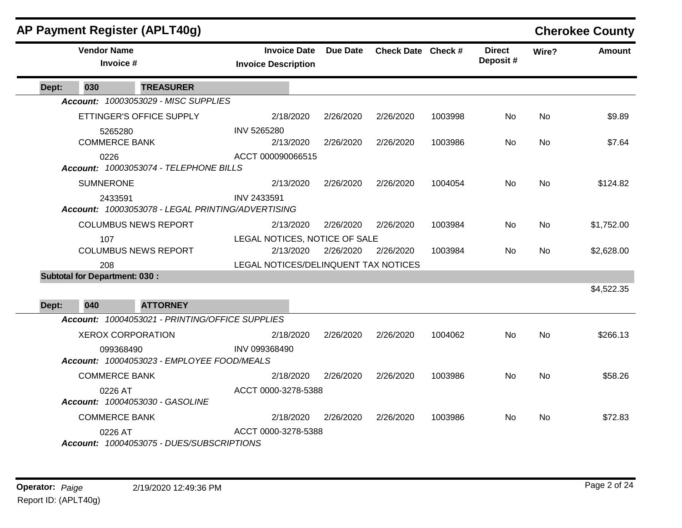|       |                                      | AP Payment Register (APLT40g)                     |                                                   |                 |                    |         |                           |           | <b>Cherokee County</b> |
|-------|--------------------------------------|---------------------------------------------------|---------------------------------------------------|-----------------|--------------------|---------|---------------------------|-----------|------------------------|
|       | <b>Vendor Name</b><br>Invoice #      |                                                   | <b>Invoice Date</b><br><b>Invoice Description</b> | <b>Due Date</b> | Check Date Check # |         | <b>Direct</b><br>Deposit# | Wire?     | <b>Amount</b>          |
| Dept: | 030                                  | <b>TREASURER</b>                                  |                                                   |                 |                    |         |                           |           |                        |
|       |                                      | Account: 10003053029 - MISC SUPPLIES              |                                                   |                 |                    |         |                           |           |                        |
|       |                                      | ETTINGER'S OFFICE SUPPLY                          | 2/18/2020                                         | 2/26/2020       | 2/26/2020          | 1003998 | No.                       | No        | \$9.89                 |
|       | 5265280<br><b>COMMERCE BANK</b>      |                                                   | <b>INV 5265280</b><br>2/13/2020                   | 2/26/2020       | 2/26/2020          | 1003986 | No.                       | No        | \$7.64                 |
|       | 0226                                 | Account: 10003053074 - TELEPHONE BILLS            | ACCT 000090066515                                 |                 |                    |         |                           |           |                        |
|       | <b>SUMNERONE</b>                     |                                                   | 2/13/2020                                         | 2/26/2020       | 2/26/2020          | 1004054 | No                        | <b>No</b> | \$124.82               |
|       | 2433591                              | Account: 10003053078 - LEGAL PRINTING/ADVERTISING | INV 2433591                                       |                 |                    |         |                           |           |                        |
|       |                                      | <b>COLUMBUS NEWS REPORT</b>                       | 2/13/2020                                         | 2/26/2020       | 2/26/2020          | 1003984 | No.                       | No        | \$1,752.00             |
|       | 107                                  | <b>COLUMBUS NEWS REPORT</b>                       | LEGAL NOTICES, NOTICE OF SALE<br>2/13/2020        | 2/26/2020       | 2/26/2020          | 1003984 | <b>No</b>                 | No        | \$2,628.00             |
|       | 208                                  |                                                   | LEGAL NOTICES/DELINQUENT TAX NOTICES              |                 |                    |         |                           |           |                        |
|       | <b>Subtotal for Department: 030:</b> |                                                   |                                                   |                 |                    |         |                           |           |                        |
| Dept: | 040                                  | <b>ATTORNEY</b>                                   |                                                   |                 |                    |         |                           |           | \$4,522.35             |
|       |                                      | Account: 10004053021 - PRINTING/OFFICE SUPPLIES   |                                                   |                 |                    |         |                           |           |                        |
|       |                                      | <b>XEROX CORPORATION</b>                          | 2/18/2020                                         | 2/26/2020       | 2/26/2020          | 1004062 | <b>No</b>                 | No        | \$266.13               |
|       | 099368490                            | Account: 10004053023 - EMPLOYEE FOOD/MEALS        | INV 099368490                                     |                 |                    |         |                           |           |                        |
|       | <b>COMMERCE BANK</b>                 |                                                   | 2/18/2020                                         | 2/26/2020       | 2/26/2020          | 1003986 | <b>No</b>                 | <b>No</b> | \$58.26                |
|       | 0226 AT                              | Account: 10004053030 - GASOLINE                   | ACCT 0000-3278-5388                               |                 |                    |         |                           |           |                        |
|       | <b>COMMERCE BANK</b>                 |                                                   | 2/18/2020                                         | 2/26/2020       | 2/26/2020          | 1003986 | No.                       | No        | \$72.83                |
|       | 0226 AT                              | Account: 10004053075 - DUES/SUBSCRIPTIONS         | ACCT 0000-3278-5388                               |                 |                    |         |                           |           |                        |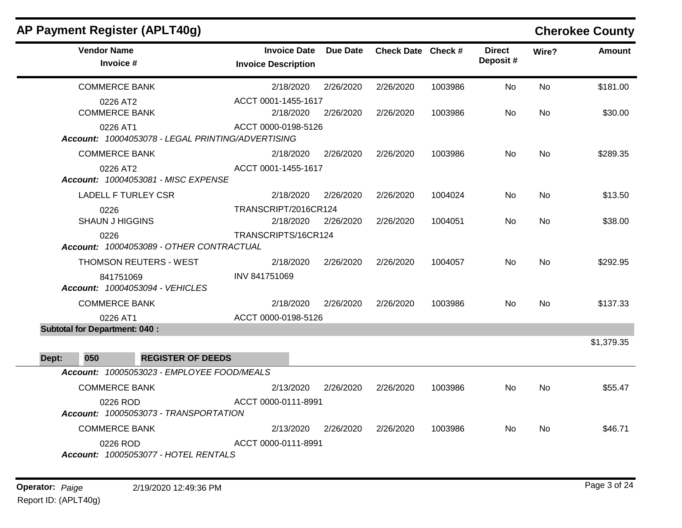|       | AP Payment Register (APLT40g)                                 |                                                   |                 |                    |         |                           |           | <b>Cherokee County</b> |
|-------|---------------------------------------------------------------|---------------------------------------------------|-----------------|--------------------|---------|---------------------------|-----------|------------------------|
|       | <b>Vendor Name</b><br>Invoice #                               | <b>Invoice Date</b><br><b>Invoice Description</b> | <b>Due Date</b> | Check Date Check # |         | <b>Direct</b><br>Deposit# | Wire?     | <b>Amount</b>          |
|       | <b>COMMERCE BANK</b>                                          | 2/18/2020                                         | 2/26/2020       | 2/26/2020          | 1003986 | No                        | <b>No</b> | \$181.00               |
|       | 0226 AT2<br><b>COMMERCE BANK</b>                              | ACCT 0001-1455-1617<br>2/18/2020                  | 2/26/2020       | 2/26/2020          | 1003986 | No.                       | <b>No</b> | \$30.00                |
|       | 0226 AT1<br>Account: 10004053078 - LEGAL PRINTING/ADVERTISING | ACCT 0000-0198-5126                               |                 |                    |         |                           |           |                        |
|       | <b>COMMERCE BANK</b>                                          | 2/18/2020                                         | 2/26/2020       | 2/26/2020          | 1003986 | No                        | <b>No</b> | \$289.35               |
|       | 0226 AT2<br>Account: 10004053081 - MISC EXPENSE               | ACCT 0001-1455-1617                               |                 |                    |         |                           |           |                        |
|       | <b>LADELL F TURLEY CSR</b>                                    | 2/18/2020                                         | 2/26/2020       | 2/26/2020          | 1004024 | No.                       | <b>No</b> | \$13.50                |
|       | 0226<br><b>SHAUN J HIGGINS</b>                                | TRANSCRIPT/2016CR124<br>2/18/2020                 | 2/26/2020       | 2/26/2020          | 1004051 | No.                       | No        | \$38.00                |
|       | 0226<br>Account: 10004053089 - OTHER CONTRACTUAL              | TRANSCRIPTS/16CR124                               |                 |                    |         |                           |           |                        |
|       | THOMSON REUTERS - WEST                                        | 2/18/2020                                         | 2/26/2020       | 2/26/2020          | 1004057 | No.                       | <b>No</b> | \$292.95               |
|       | 841751069<br>Account: 10004053094 - VEHICLES                  | INV 841751069                                     |                 |                    |         |                           |           |                        |
|       | <b>COMMERCE BANK</b>                                          | 2/18/2020                                         | 2/26/2020       | 2/26/2020          | 1003986 | No.                       | No        | \$137.33               |
|       | 0226 AT1                                                      | ACCT 0000-0198-5126                               |                 |                    |         |                           |           |                        |
|       | <b>Subtotal for Department: 040:</b>                          |                                                   |                 |                    |         |                           |           |                        |
|       |                                                               |                                                   |                 |                    |         |                           |           | \$1,379.35             |
| Dept: | 050<br><b>REGISTER OF DEEDS</b>                               |                                                   |                 |                    |         |                           |           |                        |
|       | Account: 10005053023 - EMPLOYEE FOOD/MEALS                    |                                                   |                 |                    |         |                           |           |                        |
|       | <b>COMMERCE BANK</b>                                          | 2/13/2020                                         | 2/26/2020       | 2/26/2020          | 1003986 | No                        | No        | \$55.47                |
|       | 0226 ROD<br>Account: 10005053073 - TRANSPORTATION             | ACCT 0000-0111-8991                               |                 |                    |         |                           |           |                        |
|       | <b>COMMERCE BANK</b>                                          | 2/13/2020                                         | 2/26/2020       | 2/26/2020          | 1003986 | No.                       | No        | \$46.71                |
|       | 0226 ROD<br>Account: 10005053077 - HOTEL RENTALS              | ACCT 0000-0111-8991                               |                 |                    |         |                           |           |                        |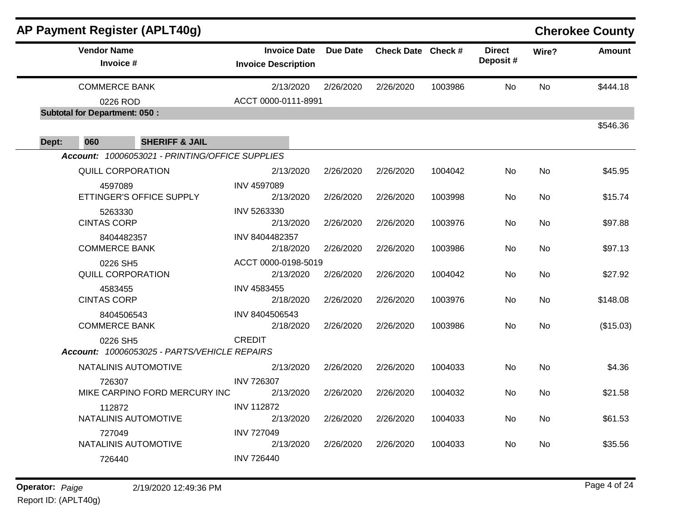|       |                                      | <b>AP Payment Register (APLT40g)</b>            |                                                   |                 |                    |         |                           |           | <b>Cherokee County</b> |
|-------|--------------------------------------|-------------------------------------------------|---------------------------------------------------|-----------------|--------------------|---------|---------------------------|-----------|------------------------|
|       | <b>Vendor Name</b><br>Invoice #      |                                                 | <b>Invoice Date</b><br><b>Invoice Description</b> | <b>Due Date</b> | Check Date Check # |         | <b>Direct</b><br>Deposit# | Wire?     | <b>Amount</b>          |
|       | <b>COMMERCE BANK</b>                 |                                                 | 2/13/2020                                         | 2/26/2020       | 2/26/2020          | 1003986 | No.                       | No        | \$444.18               |
|       | 0226 ROD                             |                                                 | ACCT 0000-0111-8991                               |                 |                    |         |                           |           |                        |
|       | <b>Subtotal for Department: 050:</b> |                                                 |                                                   |                 |                    |         |                           |           |                        |
| Dept: | 060                                  | <b>SHERIFF &amp; JAIL</b>                       |                                                   |                 |                    |         |                           |           | \$546.36               |
|       |                                      | Account: 10006053021 - PRINTING/OFFICE SUPPLIES |                                                   |                 |                    |         |                           |           |                        |
|       |                                      | <b>QUILL CORPORATION</b>                        | 2/13/2020                                         | 2/26/2020       | 2/26/2020          | 1004042 | No                        | <b>No</b> | \$45.95                |
|       | 4597089                              | ETTINGER'S OFFICE SUPPLY                        | <b>INV 4597089</b><br>2/13/2020                   | 2/26/2020       | 2/26/2020          | 1003998 | No                        | No        | \$15.74                |
|       | 5263330<br><b>CINTAS CORP</b>        |                                                 | INV 5263330<br>2/13/2020                          | 2/26/2020       | 2/26/2020          | 1003976 | No.                       | <b>No</b> | \$97.88                |
|       | <b>COMMERCE BANK</b>                 | 8404482357                                      | INV 8404482357<br>2/18/2020                       | 2/26/2020       | 2/26/2020          | 1003986 | No.                       | No        | \$97.13                |
|       | 0226 SH5                             | <b>QUILL CORPORATION</b>                        | ACCT 0000-0198-5019<br>2/13/2020                  | 2/26/2020       | 2/26/2020          | 1004042 | No.                       | No        | \$27.92                |
|       | 4583455<br><b>CINTAS CORP</b>        |                                                 | INV 4583455<br>2/18/2020                          | 2/26/2020       | 2/26/2020          | 1003976 | No                        | <b>No</b> | \$148.08               |
|       | <b>COMMERCE BANK</b>                 | 8404506543                                      | INV 8404506543<br>2/18/2020                       | 2/26/2020       | 2/26/2020          | 1003986 | <b>No</b>                 | <b>No</b> | (\$15.03)              |
|       | 0226 SH5                             | Account: 10006053025 - PARTS/VEHICLE REPAIRS    | <b>CREDIT</b>                                     |                 |                    |         |                           |           |                        |
|       |                                      | NATALINIS AUTOMOTIVE                            | 2/13/2020                                         | 2/26/2020       | 2/26/2020          | 1004033 | No.                       | No        | \$4.36                 |
|       | 726307                               | MIKE CARPINO FORD MERCURY INC                   | <b>INV 726307</b><br>2/13/2020                    | 2/26/2020       | 2/26/2020          | 1004032 | No.                       | No        | \$21.58                |
|       | 112872                               | NATALINIS AUTOMOTIVE                            | <b>INV 112872</b><br>2/13/2020                    | 2/26/2020       | 2/26/2020          | 1004033 | No                        | <b>No</b> | \$61.53                |
|       | 727049                               | NATALINIS AUTOMOTIVE                            | <b>INV 727049</b><br>2/13/2020                    | 2/26/2020       | 2/26/2020          | 1004033 | No                        | No        | \$35.56                |
|       | 726440                               |                                                 | <b>INV 726440</b>                                 |                 |                    |         |                           |           |                        |
|       |                                      |                                                 |                                                   |                 |                    |         |                           |           |                        |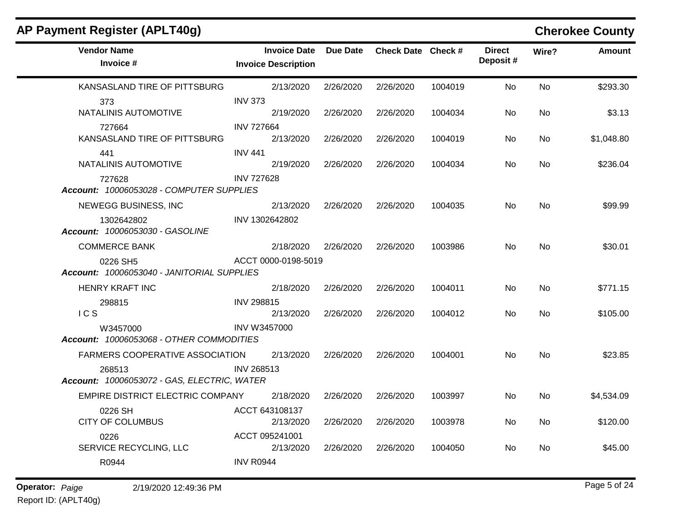| AP Payment Register (APLT40g)                                                            |                                                   |                 |                    |         |                           |       | <b>Cherokee County</b> |
|------------------------------------------------------------------------------------------|---------------------------------------------------|-----------------|--------------------|---------|---------------------------|-------|------------------------|
| <b>Vendor Name</b><br>Invoice #                                                          | <b>Invoice Date</b><br><b>Invoice Description</b> | <b>Due Date</b> | Check Date Check # |         | <b>Direct</b><br>Deposit# | Wire? | <b>Amount</b>          |
| KANSASLAND TIRE OF PITTSBURG                                                             | 2/13/2020                                         | 2/26/2020       | 2/26/2020          | 1004019 | No                        | No    | \$293.30               |
| 373<br>NATALINIS AUTOMOTIVE                                                              | <b>INV 373</b><br>2/19/2020                       | 2/26/2020       | 2/26/2020          | 1004034 | No                        | No    | \$3.13                 |
| 727664<br>KANSASLAND TIRE OF PITTSBURG                                                   | <b>INV 727664</b><br>2/13/2020                    | 2/26/2020       | 2/26/2020          | 1004019 | No                        | No    | \$1,048.80             |
| 441<br>NATALINIS AUTOMOTIVE                                                              | <b>INV 441</b><br>2/19/2020                       | 2/26/2020       | 2/26/2020          | 1004034 | No                        | No    | \$236.04               |
| 727628<br>Account: 10006053028 - COMPUTER SUPPLIES                                       | <b>INV 727628</b>                                 |                 |                    |         |                           |       |                        |
| NEWEGG BUSINESS, INC                                                                     | 2/13/2020                                         | 2/26/2020       | 2/26/2020          | 1004035 | No.                       | No    | \$99.99                |
| 1302642802<br>Account: 10006053030 - GASOLINE                                            | INV 1302642802                                    |                 |                    |         |                           |       |                        |
| <b>COMMERCE BANK</b>                                                                     | 2/18/2020                                         | 2/26/2020       | 2/26/2020          | 1003986 | No.                       | No    | \$30.01                |
| 0226 SH5<br>Account: 10006053040 - JANITORIAL SUPPLIES                                   | ACCT 0000-0198-5019                               |                 |                    |         |                           |       |                        |
| <b>HENRY KRAFT INC</b>                                                                   | 2/18/2020                                         | 2/26/2020       | 2/26/2020          | 1004011 | No                        | No    | \$771.15               |
| 298815<br>ICS                                                                            | <b>INV 298815</b><br>2/13/2020                    | 2/26/2020       | 2/26/2020          | 1004012 | No                        | No    | \$105.00               |
| W3457000<br>Account: 10006053068 - OTHER COMMODITIES                                     | <b>INV W3457000</b>                               |                 |                    |         |                           |       |                        |
| FARMERS COOPERATIVE ASSOCIATION<br>268513<br>Account: 10006053072 - GAS, ELECTRIC, WATER | 2/13/2020<br><b>INV 268513</b>                    | 2/26/2020       | 2/26/2020          | 1004001 | No                        | No    | \$23.85                |
| EMPIRE DISTRICT ELECTRIC COMPANY                                                         | 2/18/2020                                         | 2/26/2020       | 2/26/2020          | 1003997 | No                        | No    | \$4,534.09             |
| 0226 SH<br><b>CITY OF COLUMBUS</b>                                                       | ACCT 643108137<br>2/13/2020                       | 2/26/2020       | 2/26/2020          | 1003978 | No                        | No    | \$120.00               |
| 0226<br>SERVICE RECYCLING, LLC                                                           | ACCT 095241001<br>2/13/2020                       | 2/26/2020       | 2/26/2020          | 1004050 | No                        | No    | \$45.00                |
| R0944                                                                                    | <b>INV R0944</b>                                  |                 |                    |         |                           |       |                        |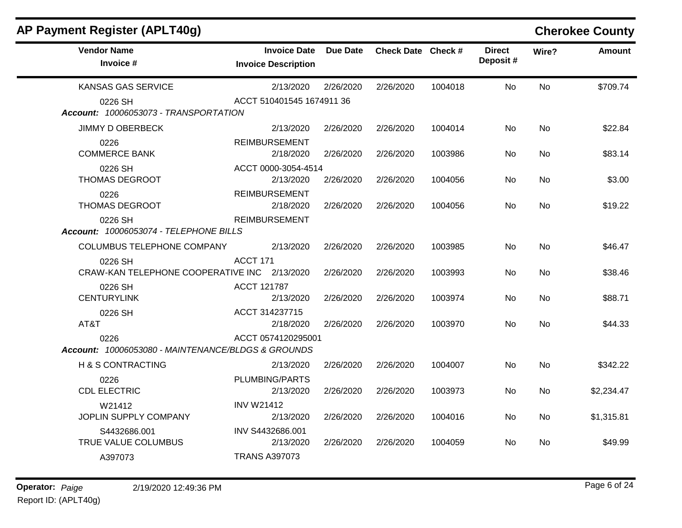| AP Payment Register (APLT40g)                              |                                                   |           |                    |         |                            |           | <b>Cherokee County</b> |
|------------------------------------------------------------|---------------------------------------------------|-----------|--------------------|---------|----------------------------|-----------|------------------------|
| <b>Vendor Name</b><br>Invoice #                            | <b>Invoice Date</b><br><b>Invoice Description</b> | Due Date  | Check Date Check # |         | <b>Direct</b><br>Deposit # | Wire?     | <b>Amount</b>          |
| <b>KANSAS GAS SERVICE</b>                                  | 2/13/2020                                         | 2/26/2020 | 2/26/2020          | 1004018 | <b>No</b>                  | No        | \$709.74               |
| 0226 SH<br>Account: 10006053073 - TRANSPORTATION           | ACCT 510401545 1674911 36                         |           |                    |         |                            |           |                        |
| <b>JIMMY D OBERBECK</b>                                    | 2/13/2020                                         | 2/26/2020 | 2/26/2020          | 1004014 | No.                        | No.       | \$22.84                |
| 0226<br><b>COMMERCE BANK</b>                               | <b>REIMBURSEMENT</b><br>2/18/2020                 | 2/26/2020 | 2/26/2020          | 1003986 | No                         | <b>No</b> | \$83.14                |
| 0226 SH<br>THOMAS DEGROOT                                  | ACCT 0000-3054-4514<br>2/13/2020                  | 2/26/2020 | 2/26/2020          | 1004056 | No                         | No        | \$3.00                 |
| 0226<br>THOMAS DEGROOT                                     | <b>REIMBURSEMENT</b><br>2/18/2020                 | 2/26/2020 | 2/26/2020          | 1004056 | No                         | No        | \$19.22                |
| 0226 SH<br>Account: 10006053074 - TELEPHONE BILLS          | <b>REIMBURSEMENT</b>                              |           |                    |         |                            |           |                        |
| COLUMBUS TELEPHONE COMPANY                                 | 2/13/2020                                         | 2/26/2020 | 2/26/2020          | 1003985 | No                         | No        | \$46.47                |
| 0226 SH<br>CRAW-KAN TELEPHONE COOPERATIVE INC 2/13/2020    | ACCT 171                                          | 2/26/2020 | 2/26/2020          | 1003993 | No.                        | No        | \$38.46                |
| 0226 SH<br><b>CENTURYLINK</b>                              | ACCT 121787<br>2/13/2020                          | 2/26/2020 | 2/26/2020          | 1003974 | No                         | <b>No</b> | \$88.71                |
| 0226 SH<br>AT&T                                            | ACCT 314237715<br>2/18/2020                       | 2/26/2020 | 2/26/2020          | 1003970 | No                         | No        | \$44.33                |
| 0226<br>Account: 10006053080 - MAINTENANCE/BLDGS & GROUNDS | ACCT 0574120295001                                |           |                    |         |                            |           |                        |
| <b>H &amp; S CONTRACTING</b>                               | 2/13/2020                                         | 2/26/2020 | 2/26/2020          | 1004007 | No                         | No        | \$342.22               |
| 0226<br><b>CDL ELECTRIC</b>                                | PLUMBING/PARTS<br>2/13/2020                       | 2/26/2020 | 2/26/2020          | 1003973 | <b>No</b>                  | No        | \$2,234.47             |
| W21412<br>JOPLIN SUPPLY COMPANY                            | <b>INV W21412</b><br>2/13/2020                    | 2/26/2020 | 2/26/2020          | 1004016 | No.                        | No        | \$1,315.81             |
| S4432686.001<br>TRUE VALUE COLUMBUS                        | INV S4432686.001<br>2/13/2020                     | 2/26/2020 | 2/26/2020          | 1004059 | No                         | No.       | \$49.99                |
| A397073                                                    | <b>TRANS A397073</b>                              |           |                    |         |                            |           |                        |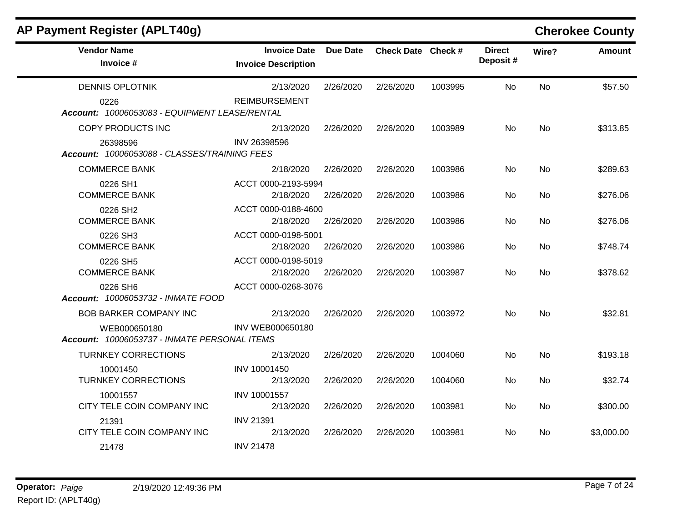| <b>AP Payment Register (APLT40g)</b>                         |                                                   |                 |                    |         |                           |           | <b>Cherokee County</b> |
|--------------------------------------------------------------|---------------------------------------------------|-----------------|--------------------|---------|---------------------------|-----------|------------------------|
| <b>Vendor Name</b><br>Invoice #                              | <b>Invoice Date</b><br><b>Invoice Description</b> | <b>Due Date</b> | Check Date Check # |         | <b>Direct</b><br>Deposit# | Wire?     | <b>Amount</b>          |
| <b>DENNIS OPLOTNIK</b>                                       | 2/13/2020                                         | 2/26/2020       | 2/26/2020          | 1003995 | <b>No</b>                 | No        | \$57.50                |
| 0226<br>Account: 10006053083 - EQUIPMENT LEASE/RENTAL        | <b>REIMBURSEMENT</b>                              |                 |                    |         |                           |           |                        |
| COPY PRODUCTS INC                                            | 2/13/2020                                         | 2/26/2020       | 2/26/2020          | 1003989 | No.                       | No        | \$313.85               |
| 26398596<br>Account: 10006053088 - CLASSES/TRAINING FEES     | INV 26398596                                      |                 |                    |         |                           |           |                        |
| <b>COMMERCE BANK</b>                                         | 2/18/2020                                         | 2/26/2020       | 2/26/2020          | 1003986 | No.                       | No        | \$289.63               |
| 0226 SH1<br><b>COMMERCE BANK</b>                             | ACCT 0000-2193-5994<br>2/18/2020                  | 2/26/2020       | 2/26/2020          | 1003986 | No.                       | No.       | \$276.06               |
| 0226 SH2<br><b>COMMERCE BANK</b>                             | ACCT 0000-0188-4600<br>2/18/2020                  | 2/26/2020       | 2/26/2020          | 1003986 | <b>No</b>                 | <b>No</b> | \$276.06               |
| 0226 SH3<br><b>COMMERCE BANK</b>                             | ACCT 0000-0198-5001<br>2/18/2020                  | 2/26/2020       | 2/26/2020          | 1003986 | No.                       | No.       | \$748.74               |
| 0226 SH5<br><b>COMMERCE BANK</b>                             | ACCT 0000-0198-5019<br>2/18/2020                  | 2/26/2020       | 2/26/2020          | 1003987 | No.                       | No.       | \$378.62               |
| 0226 SH6<br>Account: 10006053732 - INMATE FOOD               | ACCT 0000-0268-3076                               |                 |                    |         |                           |           |                        |
| <b>BOB BARKER COMPANY INC</b>                                | 2/13/2020                                         | 2/26/2020       | 2/26/2020          | 1003972 | <b>No</b>                 | No        | \$32.81                |
| WEB000650180<br>Account: 10006053737 - INMATE PERSONAL ITEMS | INV WEB000650180                                  |                 |                    |         |                           |           |                        |
| <b>TURNKEY CORRECTIONS</b>                                   | 2/13/2020                                         | 2/26/2020       | 2/26/2020          | 1004060 | No.                       | No        | \$193.18               |
| 10001450<br><b>TURNKEY CORRECTIONS</b>                       | INV 10001450<br>2/13/2020                         | 2/26/2020       | 2/26/2020          | 1004060 | No.                       | No        | \$32.74                |
| 10001557<br>CITY TELE COIN COMPANY INC                       | INV 10001557<br>2/13/2020                         | 2/26/2020       | 2/26/2020          | 1003981 | No.                       | No        | \$300.00               |
| 21391<br>CITY TELE COIN COMPANY INC                          | <b>INV 21391</b><br>2/13/2020                     | 2/26/2020       | 2/26/2020          | 1003981 | No.                       | No        | \$3,000.00             |
| 21478                                                        | <b>INV 21478</b>                                  |                 |                    |         |                           |           |                        |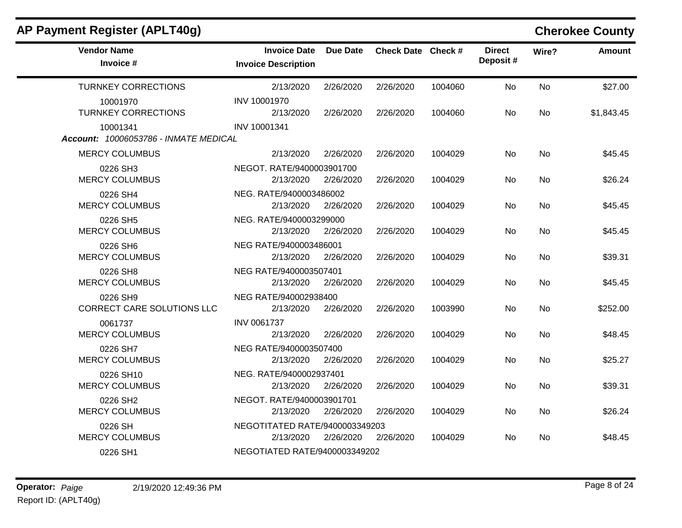| AP Payment Register (APLT40g)                     |                                                   |                 |                    |         |                           |           | <b>Cherokee County</b> |
|---------------------------------------------------|---------------------------------------------------|-----------------|--------------------|---------|---------------------------|-----------|------------------------|
| <b>Vendor Name</b><br>Invoice #                   | <b>Invoice Date</b><br><b>Invoice Description</b> | <b>Due Date</b> | Check Date Check # |         | <b>Direct</b><br>Deposit# | Wire?     | <b>Amount</b>          |
| <b>TURNKEY CORRECTIONS</b>                        | 2/13/2020                                         | 2/26/2020       | 2/26/2020          | 1004060 | <b>No</b>                 | <b>No</b> | \$27.00                |
| 10001970<br><b>TURNKEY CORRECTIONS</b>            | INV 10001970<br>2/13/2020                         | 2/26/2020       | 2/26/2020          | 1004060 | No.                       | No        | \$1,843.45             |
| 10001341<br>Account: 10006053786 - INMATE MEDICAL | INV 10001341                                      |                 |                    |         |                           |           |                        |
| <b>MERCY COLUMBUS</b>                             | 2/13/2020                                         | 2/26/2020       | 2/26/2020          | 1004029 | No                        | <b>No</b> | \$45.45                |
| 0226 SH3<br><b>MERCY COLUMBUS</b>                 | NEGOT. RATE/9400003901700<br>2/13/2020            | 2/26/2020       | 2/26/2020          | 1004029 | No                        | No.       | \$26.24                |
| 0226 SH4<br><b>MERCY COLUMBUS</b>                 | NEG. RATE/9400003486002<br>2/13/2020              | 2/26/2020       | 2/26/2020          | 1004029 | No.                       | No        | \$45.45                |
| 0226 SH5<br><b>MERCY COLUMBUS</b>                 | NEG. RATE/9400003299000<br>2/13/2020              | 2/26/2020       | 2/26/2020          | 1004029 | No.                       | <b>No</b> | \$45.45                |
| 0226 SH6<br><b>MERCY COLUMBUS</b>                 | NEG RATE/9400003486001<br>2/13/2020               | 2/26/2020       | 2/26/2020          | 1004029 | No                        | <b>No</b> | \$39.31                |
| 0226 SH8<br><b>MERCY COLUMBUS</b>                 | NEG RATE/9400003507401<br>2/13/2020               | 2/26/2020       | 2/26/2020          | 1004029 | No.                       | <b>No</b> | \$45.45                |
| 0226 SH9<br><b>CORRECT CARE SOLUTIONS LLC</b>     | NEG RATE/940002938400<br>2/13/2020                | 2/26/2020       | 2/26/2020          | 1003990 | No.                       | <b>No</b> | \$252.00               |
| 0061737<br><b>MERCY COLUMBUS</b>                  | <b>INV 0061737</b><br>2/13/2020                   | 2/26/2020       | 2/26/2020          | 1004029 | No.                       | No        | \$48.45                |
| 0226 SH7<br><b>MERCY COLUMBUS</b>                 | NEG RATE/9400003507400<br>2/13/2020               | 2/26/2020       | 2/26/2020          | 1004029 | No                        | No        | \$25.27                |
| 0226 SH10<br><b>MERCY COLUMBUS</b>                | NEG. RATE/9400002937401<br>2/13/2020              | 2/26/2020       | 2/26/2020          | 1004029 | No                        | No.       | \$39.31                |
| 0226 SH2<br><b>MERCY COLUMBUS</b>                 | NEGOT. RATE/9400003901701<br>2/13/2020            | 2/26/2020       | 2/26/2020          | 1004029 | No.                       | <b>No</b> | \$26.24                |
| 0226 SH<br><b>MERCY COLUMBUS</b>                  | NEGOTITATED RATE/9400003349203<br>2/13/2020       | 2/26/2020       | 2/26/2020          | 1004029 | No.                       | No.       | \$48.45                |
| 0226 SH1                                          | NEGOTIATED RATE/9400003349202                     |                 |                    |         |                           |           |                        |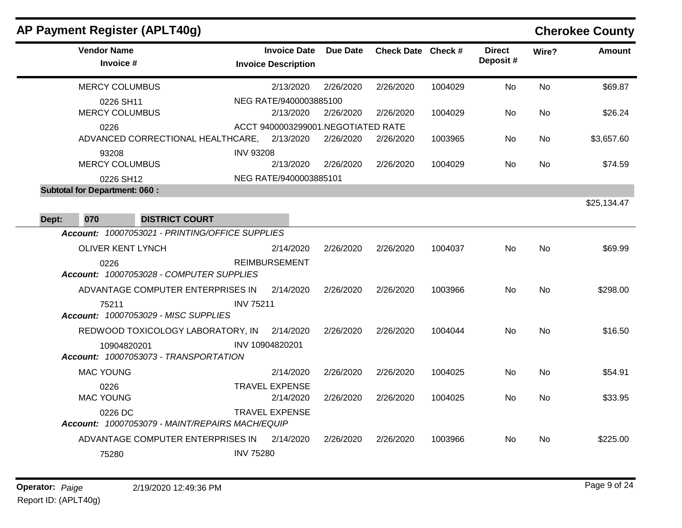|       |                                                   | <b>AP Payment Register (APLT40g)</b>                 |                  |                                                   |           |                    |         |                           |           | <b>Cherokee County</b> |
|-------|---------------------------------------------------|------------------------------------------------------|------------------|---------------------------------------------------|-----------|--------------------|---------|---------------------------|-----------|------------------------|
|       | <b>Vendor Name</b><br>Invoice #                   |                                                      |                  | <b>Invoice Date</b><br><b>Invoice Description</b> | Due Date  | Check Date Check # |         | <b>Direct</b><br>Deposit# | Wire?     | <b>Amount</b>          |
|       | <b>MERCY COLUMBUS</b>                             |                                                      |                  | 2/13/2020                                         | 2/26/2020 | 2/26/2020          | 1004029 | No                        | No        | \$69.87                |
|       | 0226 SH11<br><b>MERCY COLUMBUS</b>                |                                                      |                  | NEG RATE/9400003885100<br>2/13/2020               | 2/26/2020 | 2/26/2020          | 1004029 | No.                       | No        | \$26.24                |
|       | 0226                                              | ADVANCED CORRECTIONAL HEALTHCARE,                    |                  | ACCT 9400003299001.NEGOTIATED RATE<br>2/13/2020   | 2/26/2020 | 2/26/2020          | 1003965 | No.                       | No        | \$3,657.60             |
|       | 93208<br><b>MERCY COLUMBUS</b>                    |                                                      | <b>INV 93208</b> | 2/13/2020                                         | 2/26/2020 | 2/26/2020          | 1004029 | No.                       | No.       | \$74.59                |
|       | 0226 SH12<br><b>Subtotal for Department: 060:</b> |                                                      |                  | NEG RATE/9400003885101                            |           |                    |         |                           |           |                        |
| Dept: | 070                                               | <b>DISTRICT COURT</b>                                |                  |                                                   |           |                    |         |                           |           | \$25,134.47            |
|       |                                                   | Account: 10007053021 - PRINTING/OFFICE SUPPLIES      |                  |                                                   |           |                    |         |                           |           |                        |
|       | <b>OLIVER KENT LYNCH</b>                          |                                                      |                  | 2/14/2020                                         | 2/26/2020 | 2/26/2020          | 1004037 | No.                       | No        | \$69.99                |
|       | 0226                                              | Account: 10007053028 - COMPUTER SUPPLIES             |                  | <b>REIMBURSEMENT</b>                              |           |                    |         |                           |           |                        |
|       |                                                   | ADVANTAGE COMPUTER ENTERPRISES IN                    |                  | 2/14/2020                                         | 2/26/2020 | 2/26/2020          | 1003966 | No                        | No        | \$298.00               |
|       | 75211                                             | <b>Account: 10007053029 - MISC SUPPLIES</b>          | <b>INV 75211</b> |                                                   |           |                    |         |                           |           |                        |
|       |                                                   | REDWOOD TOXICOLOGY LABORATORY, IN                    |                  | 2/14/2020                                         | 2/26/2020 | 2/26/2020          | 1004044 | No                        | <b>No</b> | \$16.50                |
|       |                                                   | 10904820201<br>Account: 10007053073 - TRANSPORTATION |                  | INV 10904820201                                   |           |                    |         |                           |           |                        |
|       | <b>MAC YOUNG</b>                                  |                                                      |                  | 2/14/2020                                         | 2/26/2020 | 2/26/2020          | 1004025 | No.                       | No        | \$54.91                |
|       | 0226<br><b>MAC YOUNG</b>                          |                                                      |                  | <b>TRAVEL EXPENSE</b><br>2/14/2020                | 2/26/2020 | 2/26/2020          | 1004025 | No.                       | No        | \$33.95                |
|       | 0226 DC                                           | Account: 10007053079 - MAINT/REPAIRS MACH/EQUIP      |                  | <b>TRAVEL EXPENSE</b>                             |           |                    |         |                           |           |                        |
|       | 75280                                             | ADVANTAGE COMPUTER ENTERPRISES IN                    | <b>INV 75280</b> | 2/14/2020                                         | 2/26/2020 | 2/26/2020          | 1003966 | No.                       | No        | \$225.00               |
|       |                                                   |                                                      |                  |                                                   |           |                    |         |                           |           |                        |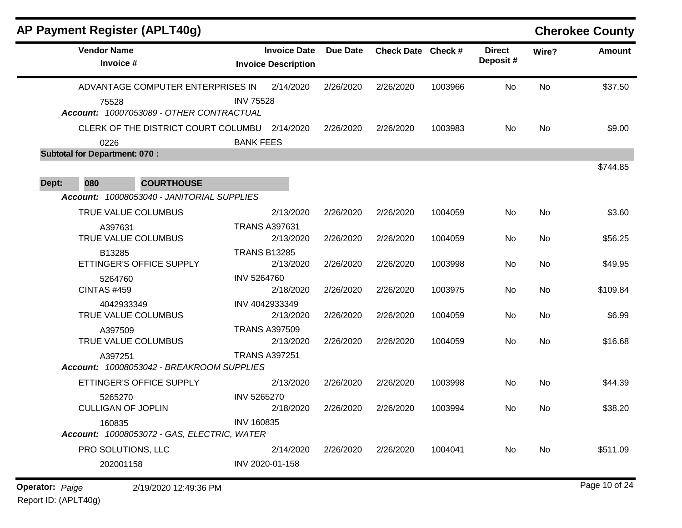|       | <b>AP Payment Register (APLT40g)</b>                                                   |                                                                   |                 |                    |         |                           |       | <b>Cherokee County</b> |
|-------|----------------------------------------------------------------------------------------|-------------------------------------------------------------------|-----------------|--------------------|---------|---------------------------|-------|------------------------|
|       | <b>Vendor Name</b><br>Invoice #                                                        | <b>Invoice Date</b><br><b>Invoice Description</b>                 | <b>Due Date</b> | Check Date Check # |         | <b>Direct</b><br>Deposit# | Wire? | <b>Amount</b>          |
|       | ADVANTAGE COMPUTER ENTERPRISES IN<br>75528<br>Account: 10007053089 - OTHER CONTRACTUAL | 2/14/2020<br><b>INV 75528</b>                                     | 2/26/2020       | 2/26/2020          | 1003966 | No                        | No    | \$37.50                |
|       | 0226                                                                                   | CLERK OF THE DISTRICT COURT COLUMBU 2/14/2020<br><b>BANK FEES</b> | 2/26/2020       | 2/26/2020          | 1003983 | No                        | No    | \$9.00                 |
|       | <b>Subtotal for Department: 070:</b>                                                   |                                                                   |                 |                    |         |                           |       |                        |
| Dept: | 080<br><b>COURTHOUSE</b>                                                               |                                                                   |                 |                    |         |                           |       | \$744.85               |
|       | Account: 10008053040 - JANITORIAL SUPPLIES                                             |                                                                   |                 |                    |         |                           |       |                        |
|       | TRUE VALUE COLUMBUS                                                                    | 2/13/2020                                                         | 2/26/2020       | 2/26/2020          | 1004059 | No                        | No    | \$3.60                 |
|       | A397631<br>TRUE VALUE COLUMBUS                                                         | <b>TRANS A397631</b><br>2/13/2020                                 | 2/26/2020       | 2/26/2020          | 1004059 | No                        | No    | \$56.25                |
|       | B13285<br>ETTINGER'S OFFICE SUPPLY                                                     | <b>TRANS B13285</b><br>2/13/2020                                  | 2/26/2020       | 2/26/2020          | 1003998 | No                        | No    | \$49.95                |
|       | 5264760<br><b>CINTAS #459</b>                                                          | INV 5264760<br>2/18/2020                                          | 2/26/2020       | 2/26/2020          | 1003975 | No                        | No    | \$109.84               |
|       | 4042933349<br>TRUE VALUE COLUMBUS                                                      | INV 4042933349<br>2/13/2020                                       | 2/26/2020       | 2/26/2020          | 1004059 | No                        | No    | \$6.99                 |
|       | A397509<br>TRUE VALUE COLUMBUS                                                         | <b>TRANS A397509</b><br>2/13/2020                                 | 2/26/2020       | 2/26/2020          | 1004059 | No                        | No    | \$16.68                |
|       | A397251<br>Account: 10008053042 - BREAKROOM SUPPLIES                                   | <b>TRANS A397251</b>                                              |                 |                    |         |                           |       |                        |
|       | ETTINGER'S OFFICE SUPPLY                                                               | 2/13/2020                                                         | 2/26/2020       | 2/26/2020          | 1003998 | No                        | No    | \$44.39                |
|       | 5265270<br><b>CULLIGAN OF JOPLIN</b>                                                   | INV 5265270<br>2/18/2020                                          | 2/26/2020       | 2/26/2020          | 1003994 | No.                       | No.   | \$38.20                |
|       | 160835<br>Account: 10008053072 - GAS, ELECTRIC, WATER                                  | <b>INV 160835</b>                                                 |                 |                    |         |                           |       |                        |
|       | PRO SOLUTIONS, LLC                                                                     | 2/14/2020                                                         | 2/26/2020       | 2/26/2020          | 1004041 | No                        | No    | \$511.09               |
|       | 202001158                                                                              | INV 2020-01-158                                                   |                 |                    |         |                           |       |                        |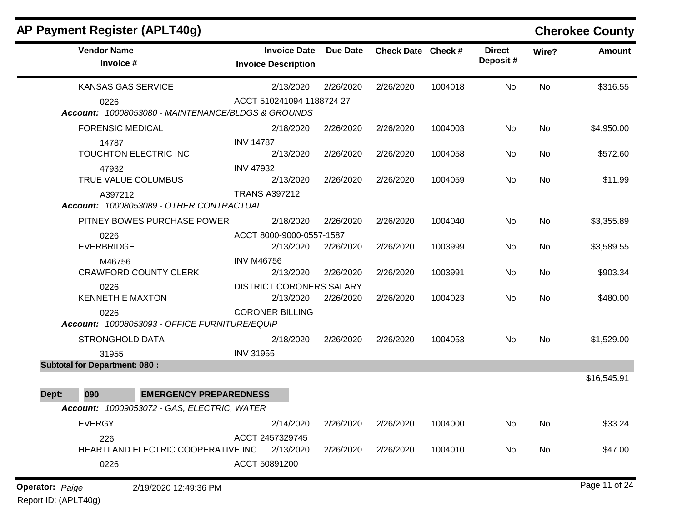| AP Payment Register (APLT40g)                              |                                                   |                 |                    |         |                           |           | <b>Cherokee County</b> |
|------------------------------------------------------------|---------------------------------------------------|-----------------|--------------------|---------|---------------------------|-----------|------------------------|
| <b>Vendor Name</b><br>Invoice #                            | <b>Invoice Date</b><br><b>Invoice Description</b> | <b>Due Date</b> | Check Date Check # |         | <b>Direct</b><br>Deposit# | Wire?     | <b>Amount</b>          |
| <b>KANSAS GAS SERVICE</b>                                  | 2/13/2020                                         | 2/26/2020       | 2/26/2020          | 1004018 | No                        | No        | \$316.55               |
| 0226<br>Account: 10008053080 - MAINTENANCE/BLDGS & GROUNDS | ACCT 510241094 1188724 27                         |                 |                    |         |                           |           |                        |
| <b>FORENSIC MEDICAL</b>                                    | 2/18/2020                                         | 2/26/2020       | 2/26/2020          | 1004003 | No                        | <b>No</b> | \$4,950.00             |
| 14787<br>TOUCHTON ELECTRIC INC                             | <b>INV 14787</b><br>2/13/2020                     | 2/26/2020       | 2/26/2020          | 1004058 | No                        | <b>No</b> | \$572.60               |
| 47932                                                      | <b>INV 47932</b>                                  |                 |                    |         |                           |           |                        |
| TRUE VALUE COLUMBUS                                        | 2/13/2020                                         | 2/26/2020       | 2/26/2020          | 1004059 | No                        | No        | \$11.99                |
| A397212<br>Account: 10008053089 - OTHER CONTRACTUAL        | <b>TRANS A397212</b>                              |                 |                    |         |                           |           |                        |
| PITNEY BOWES PURCHASE POWER                                | 2/18/2020                                         | 2/26/2020       | 2/26/2020          | 1004040 | No                        | <b>No</b> | \$3,355.89             |
| 0226<br><b>EVERBRIDGE</b>                                  | ACCT 8000-9000-0557-1587<br>2/13/2020             | 2/26/2020       | 2/26/2020          | 1003999 | No                        | <b>No</b> | \$3,589.55             |
| M46756<br><b>CRAWFORD COUNTY CLERK</b>                     | <b>INV M46756</b><br>2/13/2020                    | 2/26/2020       | 2/26/2020          | 1003991 | No                        | No        | \$903.34               |
| 0226<br><b>KENNETH E MAXTON</b>                            | <b>DISTRICT CORONERS SALARY</b><br>2/13/2020      | 2/26/2020       | 2/26/2020          | 1004023 | No                        | <b>No</b> | \$480.00               |
| 0226<br>Account: 10008053093 - OFFICE FURNITURE/EQUIP      | <b>CORONER BILLING</b>                            |                 |                    |         |                           |           |                        |
| <b>STRONGHOLD DATA</b>                                     | 2/18/2020                                         | 2/26/2020       | 2/26/2020          | 1004053 | No                        | <b>No</b> | \$1,529.00             |
| 31955                                                      | <b>INV 31955</b>                                  |                 |                    |         |                           |           |                        |
| <b>Subtotal for Department: 080:</b>                       |                                                   |                 |                    |         |                           |           |                        |
|                                                            |                                                   |                 |                    |         |                           |           | \$16,545.91            |
| <b>EMERGENCY PREPAREDNESS</b><br>090<br>Dept:              |                                                   |                 |                    |         |                           |           |                        |
| Account: 10009053072 - GAS, ELECTRIC, WATER                |                                                   |                 |                    |         |                           |           |                        |
| <b>EVERGY</b>                                              | 2/14/2020                                         | 2/26/2020       | 2/26/2020          | 1004000 | No                        | No        | \$33.24                |
| 226<br>HEARTLAND ELECTRIC COOPERATIVE INC                  | ACCT 2457329745<br>2/13/2020                      | 2/26/2020       | 2/26/2020          | 1004010 | No                        | No        | \$47.00                |
| 0226                                                       | ACCT 50891200                                     |                 |                    |         |                           |           |                        |
| <b>Operator: Paige</b><br>2/19/2020 12:49:36 PM            |                                                   |                 |                    |         |                           |           | Page 11 of 24          |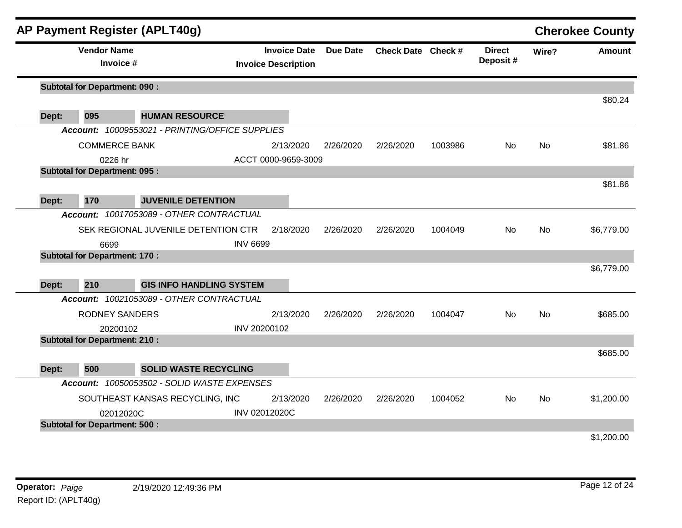|       |                                      | AP Payment Register (APLT40g)                                            |                 |                                                   |                 |                    |         |                           |           | <b>Cherokee County</b> |
|-------|--------------------------------------|--------------------------------------------------------------------------|-----------------|---------------------------------------------------|-----------------|--------------------|---------|---------------------------|-----------|------------------------|
|       | <b>Vendor Name</b><br>Invoice #      |                                                                          |                 | <b>Invoice Date</b><br><b>Invoice Description</b> | <b>Due Date</b> | Check Date Check # |         | <b>Direct</b><br>Deposit# | Wire?     | <b>Amount</b>          |
|       | <b>Subtotal for Department: 090:</b> |                                                                          |                 |                                                   |                 |                    |         |                           |           |                        |
|       |                                      |                                                                          |                 |                                                   |                 |                    |         |                           |           | \$80.24                |
| Dept: | 095                                  | <b>HUMAN RESOURCE</b><br>Account: 10009553021 - PRINTING/OFFICE SUPPLIES |                 |                                                   |                 |                    |         |                           |           |                        |
|       |                                      |                                                                          |                 |                                                   |                 |                    |         |                           |           |                        |
|       | <b>COMMERCE BANK</b>                 |                                                                          |                 | 2/13/2020                                         | 2/26/2020       | 2/26/2020          | 1003986 | No.                       | No.       | \$81.86                |
|       | 0226 hr                              |                                                                          |                 | ACCT 0000-9659-3009                               |                 |                    |         |                           |           |                        |
|       | <b>Subtotal for Department: 095:</b> |                                                                          |                 |                                                   |                 |                    |         |                           |           | \$81.86                |
|       |                                      |                                                                          |                 |                                                   |                 |                    |         |                           |           |                        |
| Dept: | 170                                  | <b>JUVENILE DETENTION</b>                                                |                 |                                                   |                 |                    |         |                           |           |                        |
|       |                                      | Account: 10017053089 - OTHER CONTRACTUAL                                 |                 |                                                   |                 |                    |         |                           |           |                        |
|       |                                      | SEK REGIONAL JUVENILE DETENTION CTR                                      |                 | 2/18/2020                                         | 2/26/2020       | 2/26/2020          | 1004049 | No                        | <b>No</b> | \$6,779.00             |
|       | 6699                                 |                                                                          | <b>INV 6699</b> |                                                   |                 |                    |         |                           |           |                        |
|       | <b>Subtotal for Department: 170:</b> |                                                                          |                 |                                                   |                 |                    |         |                           |           |                        |
|       |                                      |                                                                          |                 |                                                   |                 |                    |         |                           |           | \$6,779.00             |
| Dept: | 210                                  | <b>GIS INFO HANDLING SYSTEM</b>                                          |                 |                                                   |                 |                    |         |                           |           |                        |
|       |                                      | Account: 10021053089 - OTHER CONTRACTUAL                                 |                 |                                                   |                 |                    |         |                           |           |                        |
|       | <b>RODNEY SANDERS</b>                |                                                                          |                 | 2/13/2020                                         | 2/26/2020       | 2/26/2020          | 1004047 | No.                       | <b>No</b> | \$685.00               |
|       | 20200102                             |                                                                          | INV 20200102    |                                                   |                 |                    |         |                           |           |                        |
|       | <b>Subtotal for Department: 210:</b> |                                                                          |                 |                                                   |                 |                    |         |                           |           |                        |
|       |                                      |                                                                          |                 |                                                   |                 |                    |         |                           |           | \$685.00               |
| Dept: | 500                                  | <b>SOLID WASTE RECYCLING</b>                                             |                 |                                                   |                 |                    |         |                           |           |                        |
|       |                                      | Account: 10050053502 - SOLID WASTE EXPENSES                              |                 |                                                   |                 |                    |         |                           |           |                        |
|       |                                      | SOUTHEAST KANSAS RECYCLING, INC                                          |                 | 2/13/2020                                         | 2/26/2020       | 2/26/2020          | 1004052 | No.                       | <b>No</b> | \$1,200.00             |
|       | 02012020C                            |                                                                          |                 | <b>INV 02012020C</b>                              |                 |                    |         |                           |           |                        |
|       | <b>Subtotal for Department: 500:</b> |                                                                          |                 |                                                   |                 |                    |         |                           |           |                        |
|       |                                      |                                                                          |                 |                                                   |                 |                    |         |                           |           | \$1,200.00             |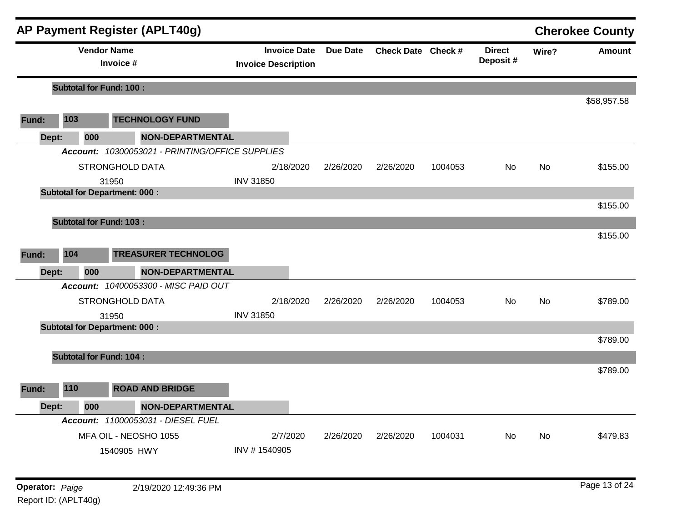|       |                                | AP Payment Register (APLT40g)                   |                                                   |                 |                    |         |                           |           | <b>Cherokee County</b> |
|-------|--------------------------------|-------------------------------------------------|---------------------------------------------------|-----------------|--------------------|---------|---------------------------|-----------|------------------------|
|       | <b>Vendor Name</b>             | Invoice #                                       | <b>Invoice Date</b><br><b>Invoice Description</b> | <b>Due Date</b> | Check Date Check # |         | <b>Direct</b><br>Deposit# | Wire?     | <b>Amount</b>          |
|       | <b>Subtotal for Fund: 100:</b> |                                                 |                                                   |                 |                    |         |                           |           |                        |
|       |                                |                                                 |                                                   |                 |                    |         |                           |           | \$58,957.58            |
| Fund: | 103                            | <b>TECHNOLOGY FUND</b>                          |                                                   |                 |                    |         |                           |           |                        |
| Dept: | 000                            | <b>NON-DEPARTMENTAL</b>                         |                                                   |                 |                    |         |                           |           |                        |
|       |                                | Account: 10300053021 - PRINTING/OFFICE SUPPLIES |                                                   |                 |                    |         |                           |           |                        |
|       |                                | <b>STRONGHOLD DATA</b>                          | 2/18/2020                                         | 2/26/2020       | 2/26/2020          | 1004053 | No                        | <b>No</b> | \$155.00               |
|       |                                | 31950                                           | <b>INV 31850</b>                                  |                 |                    |         |                           |           |                        |
|       |                                | <b>Subtotal for Department: 000:</b>            |                                                   |                 |                    |         |                           |           |                        |
|       |                                |                                                 |                                                   |                 |                    |         |                           |           | \$155.00               |
|       | <b>Subtotal for Fund: 103:</b> |                                                 |                                                   |                 |                    |         |                           |           |                        |
|       |                                |                                                 |                                                   |                 |                    |         |                           |           | \$155.00               |
| Fund: | 104                            | <b>TREASURER TECHNOLOG</b>                      |                                                   |                 |                    |         |                           |           |                        |
| Dept: | 000                            | <b>NON-DEPARTMENTAL</b>                         |                                                   |                 |                    |         |                           |           |                        |
|       |                                | Account: 10400053300 - MISC PAID OUT            |                                                   |                 |                    |         |                           |           |                        |
|       |                                | <b>STRONGHOLD DATA</b>                          | 2/18/2020                                         | 2/26/2020       | 2/26/2020          | 1004053 | No                        | No        | \$789.00               |
|       |                                | 31950                                           | <b>INV 31850</b>                                  |                 |                    |         |                           |           |                        |
|       |                                | <b>Subtotal for Department: 000:</b>            |                                                   |                 |                    |         |                           |           |                        |
|       |                                |                                                 |                                                   |                 |                    |         |                           |           | \$789.00               |
|       | <b>Subtotal for Fund: 104:</b> |                                                 |                                                   |                 |                    |         |                           |           |                        |
|       |                                |                                                 |                                                   |                 |                    |         |                           |           | \$789.00               |
| Fund: | 110                            | <b>ROAD AND BRIDGE</b>                          |                                                   |                 |                    |         |                           |           |                        |
| Dept: | 000                            | <b>NON-DEPARTMENTAL</b>                         |                                                   |                 |                    |         |                           |           |                        |
|       |                                | Account: 11000053031 - DIESEL FUEL              |                                                   |                 |                    |         |                           |           |                        |
|       |                                | MFA OIL - NEOSHO 1055                           | 2/7/2020                                          | 2/26/2020       | 2/26/2020          | 1004031 | No.                       | No        | \$479.83               |
|       |                                | 1540905 HWY                                     | INV #1540905                                      |                 |                    |         |                           |           |                        |
|       |                                |                                                 |                                                   |                 |                    |         |                           |           |                        |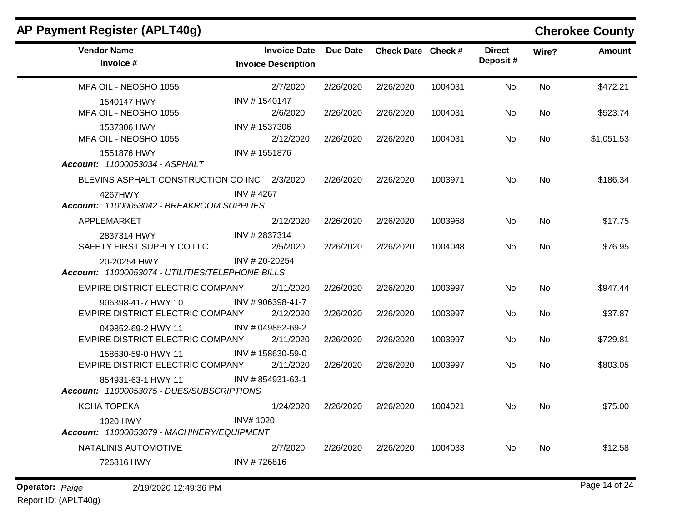| AP Payment Register (APLT40g)                                    |                            |                     |                 |                    |         |                           |           | <b>Cherokee County</b> |
|------------------------------------------------------------------|----------------------------|---------------------|-----------------|--------------------|---------|---------------------------|-----------|------------------------|
| <b>Vendor Name</b><br>Invoice #                                  | <b>Invoice Description</b> | <b>Invoice Date</b> | <b>Due Date</b> | Check Date Check # |         | <b>Direct</b><br>Deposit# | Wire?     | <b>Amount</b>          |
| MFA OIL - NEOSHO 1055                                            |                            | 2/7/2020            | 2/26/2020       | 2/26/2020          | 1004031 | No                        | <b>No</b> | \$472.21               |
| 1540147 HWY<br>MFA OIL - NEOSHO 1055                             | INV #1540147               | 2/6/2020            | 2/26/2020       | 2/26/2020          | 1004031 | No                        | No        | \$523.74               |
| 1537306 HWY<br>MFA OIL - NEOSHO 1055                             | INV #1537306               | 2/12/2020           | 2/26/2020       | 2/26/2020          | 1004031 | No                        | No        | \$1,051.53             |
| 1551876 HWY<br>Account: 11000053034 - ASPHALT                    | INV #1551876               |                     |                 |                    |         |                           |           |                        |
| BLEVINS ASPHALT CONSTRUCTION CO INC 2/3/2020                     |                            |                     | 2/26/2020       | 2/26/2020          | 1003971 | No                        | No        | \$186.34               |
| 4267HWY<br>Account: 11000053042 - BREAKROOM SUPPLIES             | INV #4267                  |                     |                 |                    |         |                           |           |                        |
| APPLEMARKET                                                      |                            | 2/12/2020           | 2/26/2020       | 2/26/2020          | 1003968 | No                        | No        | \$17.75                |
| 2837314 HWY<br>SAFETY FIRST SUPPLY CO LLC                        | INV #2837314               | 2/5/2020            | 2/26/2020       | 2/26/2020          | 1004048 | No.                       | No        | \$76.95                |
| 20-20254 HWY<br>Account: 11000053074 - UTILITIES/TELEPHONE BILLS | $INV$ # 20-20254           |                     |                 |                    |         |                           |           |                        |
| EMPIRE DISTRICT ELECTRIC COMPANY                                 |                            | 2/11/2020           | 2/26/2020       | 2/26/2020          | 1003997 | No                        | No        | \$947.44               |
| 906398-41-7 HWY 10<br>EMPIRE DISTRICT ELECTRIC COMPANY           | INV #906398-41-7           | 2/12/2020           | 2/26/2020       | 2/26/2020          | 1003997 | No                        | No        | \$37.87                |
| 049852-69-2 HWY 11<br>EMPIRE DISTRICT ELECTRIC COMPANY           | INV # 049852-69-2          | 2/11/2020           | 2/26/2020       | 2/26/2020          | 1003997 | No                        | No        | \$729.81               |
| 158630-59-0 HWY 11<br>EMPIRE DISTRICT ELECTRIC COMPANY           | INV #158630-59-0           | 2/11/2020           | 2/26/2020       | 2/26/2020          | 1003997 | No                        | No        | \$803.05               |
| 854931-63-1 HWY 11<br>Account: 11000053075 - DUES/SUBSCRIPTIONS  | INV #854931-63-1           |                     |                 |                    |         |                           |           |                        |
| <b>KCHA TOPEKA</b>                                               |                            | 1/24/2020           | 2/26/2020       | 2/26/2020          | 1004021 | No.                       | No.       | \$75.00                |
| 1020 HWY<br>Account: 11000053079 - MACHINERY/EQUIPMENT           | <b>INV#1020</b>            |                     |                 |                    |         |                           |           |                        |
| NATALINIS AUTOMOTIVE                                             |                            | 2/7/2020            | 2/26/2020       | 2/26/2020          | 1004033 | No                        | No        | \$12.58                |
| 726816 HWY                                                       | INV #726816                |                     |                 |                    |         |                           |           |                        |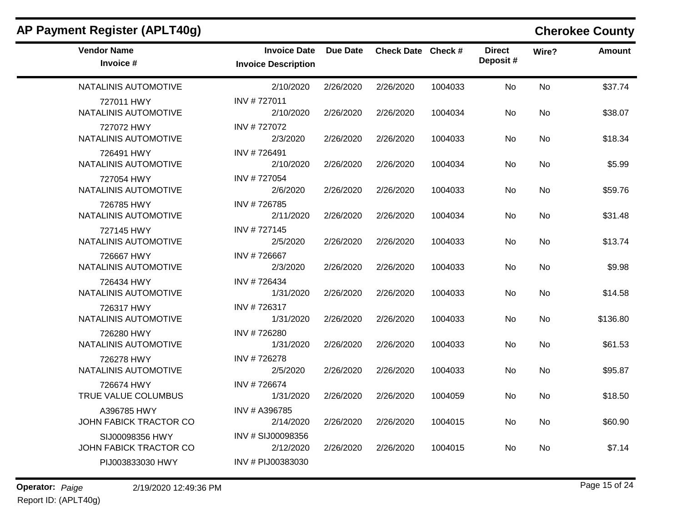| AP Payment Register (APLT40g)             |                                                   |           |                    |         |                           |           |               |  |  |  |  |
|-------------------------------------------|---------------------------------------------------|-----------|--------------------|---------|---------------------------|-----------|---------------|--|--|--|--|
| <b>Vendor Name</b><br>Invoice #           | <b>Invoice Date</b><br><b>Invoice Description</b> | Due Date  | Check Date Check # |         | <b>Direct</b><br>Deposit# | Wire?     | <b>Amount</b> |  |  |  |  |
| NATALINIS AUTOMOTIVE                      | 2/10/2020                                         | 2/26/2020 | 2/26/2020          | 1004033 | No                        | <b>No</b> | \$37.74       |  |  |  |  |
| 727011 HWY<br>NATALINIS AUTOMOTIVE        | INV #727011<br>2/10/2020                          | 2/26/2020 | 2/26/2020          | 1004034 | No                        | No        | \$38.07       |  |  |  |  |
| 727072 HWY<br>NATALINIS AUTOMOTIVE        | INV #727072<br>2/3/2020                           | 2/26/2020 | 2/26/2020          | 1004033 | No.                       | No.       | \$18.34       |  |  |  |  |
| 726491 HWY<br>NATALINIS AUTOMOTIVE        | INV #726491<br>2/10/2020                          | 2/26/2020 | 2/26/2020          | 1004034 | No                        | No        | \$5.99        |  |  |  |  |
| 727054 HWY<br>NATALINIS AUTOMOTIVE        | INV #727054<br>2/6/2020                           | 2/26/2020 | 2/26/2020          | 1004033 | No                        | No        | \$59.76       |  |  |  |  |
| 726785 HWY<br>NATALINIS AUTOMOTIVE        | INV #726785<br>2/11/2020                          | 2/26/2020 | 2/26/2020          | 1004034 | No.                       | No        | \$31.48       |  |  |  |  |
| 727145 HWY<br>NATALINIS AUTOMOTIVE        | INV #727145<br>2/5/2020                           | 2/26/2020 | 2/26/2020          | 1004033 | No                        | No        | \$13.74       |  |  |  |  |
| 726667 HWY<br>NATALINIS AUTOMOTIVE        | INV #726667<br>2/3/2020                           | 2/26/2020 | 2/26/2020          | 1004033 | No.                       | No        | \$9.98        |  |  |  |  |
| 726434 HWY<br>NATALINIS AUTOMOTIVE        | INV #726434<br>1/31/2020                          | 2/26/2020 | 2/26/2020          | 1004033 | No                        | No        | \$14.58       |  |  |  |  |
| 726317 HWY<br>NATALINIS AUTOMOTIVE        | INV #726317<br>1/31/2020                          | 2/26/2020 | 2/26/2020          | 1004033 | No.                       | No.       | \$136.80      |  |  |  |  |
| 726280 HWY<br>NATALINIS AUTOMOTIVE        | INV #726280<br>1/31/2020                          | 2/26/2020 | 2/26/2020          | 1004033 | No                        | No        | \$61.53       |  |  |  |  |
| 726278 HWY<br>NATALINIS AUTOMOTIVE        | INV #726278<br>2/5/2020                           | 2/26/2020 | 2/26/2020          | 1004033 | No                        | <b>No</b> | \$95.87       |  |  |  |  |
| 726674 HWY<br>TRUE VALUE COLUMBUS         | INV #726674<br>1/31/2020                          | 2/26/2020 | 2/26/2020          | 1004059 | No                        | No        | \$18.50       |  |  |  |  |
| A396785 HWY<br>JOHN FABICK TRACTOR CO     | INV # A396785<br>2/14/2020                        | 2/26/2020 | 2/26/2020          | 1004015 | No                        | No        | \$60.90       |  |  |  |  |
| SIJ00098356 HWY<br>JOHN FABICK TRACTOR CO | INV # SIJ00098356<br>2/12/2020                    | 2/26/2020 | 2/26/2020          | 1004015 | No.                       | No        | \$7.14        |  |  |  |  |
| PIJ003833030 HWY                          | INV # PIJ00383030                                 |           |                    |         |                           |           |               |  |  |  |  |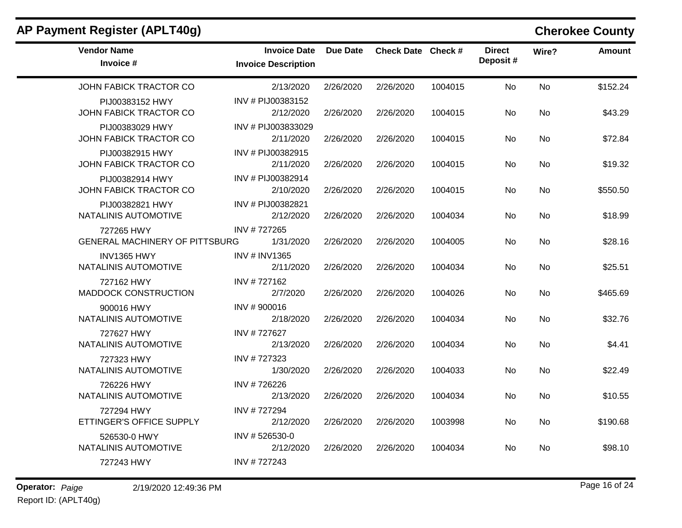| <b>Vendor Name</b><br>Invoice #                     | <b>Invoice Date</b><br><b>Invoice Description</b> | Due Date  | Check Date Check # |         | <b>Direct</b><br>Deposit# | Wire?     | <b>Amount</b> |
|-----------------------------------------------------|---------------------------------------------------|-----------|--------------------|---------|---------------------------|-----------|---------------|
| JOHN FABICK TRACTOR CO                              | 2/13/2020                                         | 2/26/2020 | 2/26/2020          | 1004015 | No                        | No        | \$152.24      |
| PIJ00383152 HWY<br>JOHN FABICK TRACTOR CO           | INV # PIJ00383152<br>2/12/2020                    | 2/26/2020 | 2/26/2020          | 1004015 | No                        | <b>No</b> | \$43.29       |
| PIJ00383029 HWY<br>JOHN FABICK TRACTOR CO           | INV # PIJ003833029<br>2/11/2020                   | 2/26/2020 | 2/26/2020          | 1004015 | No.                       | No.       | \$72.84       |
| PIJ00382915 HWY<br>JOHN FABICK TRACTOR CO           | INV # PIJ00382915<br>2/11/2020                    | 2/26/2020 | 2/26/2020          | 1004015 | No.                       | No        | \$19.32       |
| PIJ00382914 HWY<br>JOHN FABICK TRACTOR CO           | INV # PIJ00382914<br>2/10/2020                    | 2/26/2020 | 2/26/2020          | 1004015 | <b>No</b>                 | <b>No</b> | \$550.50      |
| PIJ00382821 HWY<br>NATALINIS AUTOMOTIVE             | INV # PIJ00382821<br>2/12/2020                    | 2/26/2020 | 2/26/2020          | 1004034 | No                        | No        | \$18.99       |
| 727265 HWY<br><b>GENERAL MACHINERY OF PITTSBURG</b> | INV #727265<br>1/31/2020                          | 2/26/2020 | 2/26/2020          | 1004005 | No.                       | <b>No</b> | \$28.16       |
| <b>INV1365 HWY</b><br>NATALINIS AUTOMOTIVE          | <b>INV # INV1365</b><br>2/11/2020                 | 2/26/2020 | 2/26/2020          | 1004034 | No                        | No.       | \$25.51       |
| 727162 HWY<br><b>MADDOCK CONSTRUCTION</b>           | INV #727162<br>2/7/2020                           | 2/26/2020 | 2/26/2020          | 1004026 | <b>No</b>                 | No        | \$465.69      |
| 900016 HWY<br>NATALINIS AUTOMOTIVE                  | INV #900016<br>2/18/2020                          | 2/26/2020 | 2/26/2020          | 1004034 | <b>No</b>                 | <b>No</b> | \$32.76       |
| 727627 HWY<br>NATALINIS AUTOMOTIVE                  | INV #727627<br>2/13/2020                          | 2/26/2020 | 2/26/2020          | 1004034 | No.                       | No        | \$4.41        |
| 727323 HWY<br>NATALINIS AUTOMOTIVE                  | INV #727323<br>1/30/2020                          | 2/26/2020 | 2/26/2020          | 1004033 | No                        | No        | \$22.49       |
| 726226 HWY<br>NATALINIS AUTOMOTIVE                  | INV #726226<br>2/13/2020                          | 2/26/2020 | 2/26/2020          | 1004034 | No                        | No        | \$10.55       |
| 727294 HWY<br>ETTINGER'S OFFICE SUPPLY              | INV #727294<br>2/12/2020                          | 2/26/2020 | 2/26/2020          | 1003998 | No                        | No        | \$190.68      |
| 526530-0 HWY<br>NATALINIS AUTOMOTIVE                | INV #526530-0<br>2/12/2020                        | 2/26/2020 | 2/26/2020          | 1004034 | No.                       | No        | \$98.10       |
| 727243 HWY                                          | INV #727243                                       |           |                    |         |                           |           |               |

## **AP Payment Register (APLT40g) Cherokee County**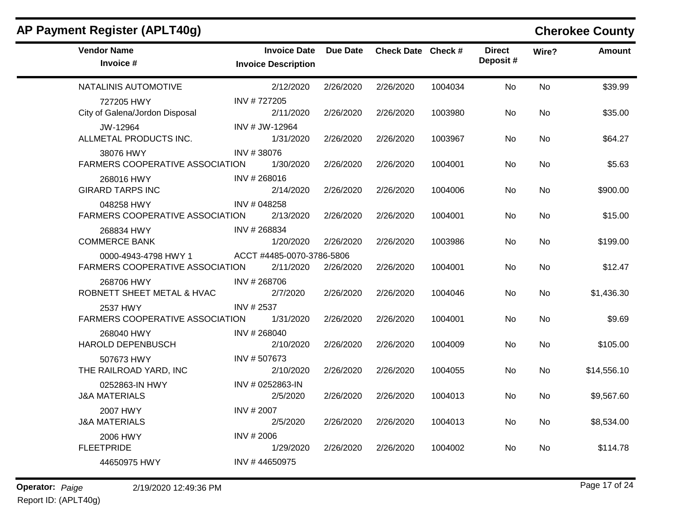| AP Payment Register (APLT40g)                           |                                                   |                 |                    |         |                           |           | <b>Cherokee County</b> |
|---------------------------------------------------------|---------------------------------------------------|-----------------|--------------------|---------|---------------------------|-----------|------------------------|
| <b>Vendor Name</b><br>Invoice #                         | <b>Invoice Date</b><br><b>Invoice Description</b> | <b>Due Date</b> | Check Date Check # |         | <b>Direct</b><br>Deposit# | Wire?     | <b>Amount</b>          |
| NATALINIS AUTOMOTIVE                                    | 2/12/2020                                         | 2/26/2020       | 2/26/2020          | 1004034 | <b>No</b>                 | <b>No</b> | \$39.99                |
| 727205 HWY<br>City of Galena/Jordon Disposal            | INV #727205<br>2/11/2020                          | 2/26/2020       | 2/26/2020          | 1003980 | No.                       | No        | \$35.00                |
| JW-12964<br>ALLMETAL PRODUCTS INC.                      | INV # JW-12964<br>1/31/2020                       | 2/26/2020       | 2/26/2020          | 1003967 | No                        | No        | \$64.27                |
| 38076 HWY<br><b>FARMERS COOPERATIVE ASSOCIATION</b>     | INV #38076<br>1/30/2020                           | 2/26/2020       | 2/26/2020          | 1004001 | No                        | No        | \$5.63                 |
| 268016 HWY<br><b>GIRARD TARPS INC</b>                   | INV #268016<br>2/14/2020                          | 2/26/2020       | 2/26/2020          | 1004006 | No.                       | No        | \$900.00               |
| 048258 HWY<br>FARMERS COOPERATIVE ASSOCIATION           | INV # 048258<br>2/13/2020                         | 2/26/2020       | 2/26/2020          | 1004001 | No                        | No        | \$15.00                |
| 268834 HWY<br><b>COMMERCE BANK</b>                      | INV # 268834<br>1/20/2020                         | 2/26/2020       | 2/26/2020          | 1003986 | No                        | No.       | \$199.00               |
| 0000-4943-4798 HWY 1<br>FARMERS COOPERATIVE ASSOCIATION | ACCT #4485-0070-3786-5806<br>2/11/2020            | 2/26/2020       | 2/26/2020          | 1004001 | No                        | No        | \$12.47                |
| 268706 HWY<br>ROBNETT SHEET METAL & HVAC                | INV #268706<br>2/7/2020                           | 2/26/2020       | 2/26/2020          | 1004046 | No                        | No        | \$1,436.30             |
| 2537 HWY<br><b>FARMERS COOPERATIVE ASSOCIATION</b>      | INV # 2537<br>1/31/2020                           | 2/26/2020       | 2/26/2020          | 1004001 | No.                       | No        | \$9.69                 |
| 268040 HWY<br><b>HAROLD DEPENBUSCH</b>                  | INV # 268040<br>2/10/2020                         | 2/26/2020       | 2/26/2020          | 1004009 | No                        | No        | \$105.00               |
| 507673 HWY<br>THE RAILROAD YARD, INC                    | INV #507673<br>2/10/2020                          | 2/26/2020       | 2/26/2020          | 1004055 | No                        | No        | \$14,556.10            |
| 0252863-IN HWY<br><b>J&amp;A MATERIALS</b>              | INV # 0252863-IN<br>2/5/2020                      | 2/26/2020       | 2/26/2020          | 1004013 | No.                       | <b>No</b> | \$9,567.60             |
| 2007 HWY<br><b>J&amp;A MATERIALS</b>                    | INV # 2007<br>2/5/2020                            | 2/26/2020       | 2/26/2020          | 1004013 | No                        | No        | \$8,534.00             |
| 2006 HWY<br><b>FLEETPRIDE</b>                           | INV #2006<br>1/29/2020                            | 2/26/2020       | 2/26/2020          | 1004002 | No                        | No        | \$114.78               |
| 44650975 HWY                                            | INV #44650975                                     |                 |                    |         |                           |           |                        |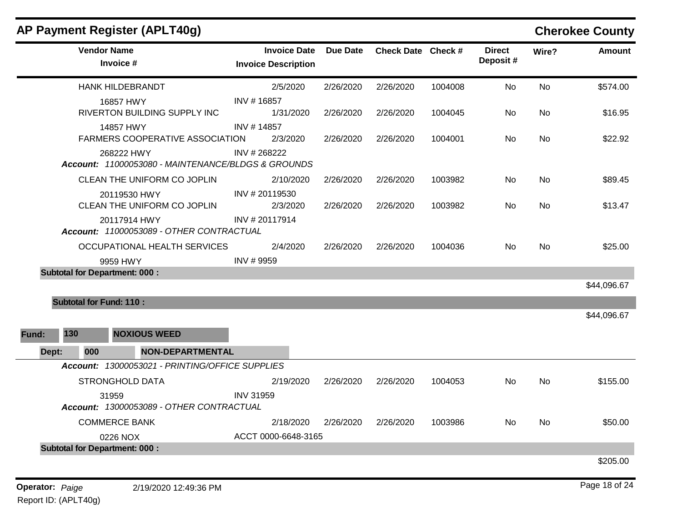| AP Payment Register (APLT40g)                                         |                                                   |                 |                    |         |                           |       | <b>Cherokee County</b> |
|-----------------------------------------------------------------------|---------------------------------------------------|-----------------|--------------------|---------|---------------------------|-------|------------------------|
| <b>Vendor Name</b><br>Invoice #                                       | <b>Invoice Date</b><br><b>Invoice Description</b> | <b>Due Date</b> | Check Date Check # |         | <b>Direct</b><br>Deposit# | Wire? | <b>Amount</b>          |
| <b>HANK HILDEBRANDT</b>                                               | 2/5/2020                                          | 2/26/2020       | 2/26/2020          | 1004008 | No                        | No    | \$574.00               |
| 16857 HWY<br>RIVERTON BUILDING SUPPLY INC                             | INV #16857<br>1/31/2020                           | 2/26/2020       | 2/26/2020          | 1004045 | No                        | No    | \$16.95                |
| 14857 HWY<br><b>FARMERS COOPERATIVE ASSOCIATION</b><br>268222 HWY     | INV #14857<br>2/3/2020<br>INV # 268222            | 2/26/2020       | 2/26/2020          | 1004001 | No                        | No    | \$22.92                |
| Account: 11000053080 - MAINTENANCE/BLDGS & GROUNDS                    |                                                   |                 |                    |         |                           |       |                        |
| CLEAN THE UNIFORM CO JOPLIN                                           | 2/10/2020                                         | 2/26/2020       | 2/26/2020          | 1003982 | No                        | No    | \$89.45                |
| 20119530 HWY<br>CLEAN THE UNIFORM CO JOPLIN                           | INV #20119530<br>2/3/2020                         | 2/26/2020       | 2/26/2020          | 1003982 | No.                       | No    | \$13.47                |
| 20117914 HWY<br>Account: 11000053089 - OTHER CONTRACTUAL              | INV # 20117914                                    |                 |                    |         |                           |       |                        |
| OCCUPATIONAL HEALTH SERVICES                                          | 2/4/2020                                          | 2/26/2020       | 2/26/2020          | 1004036 | No.                       | No    | \$25.00                |
| 9959 HWY                                                              | INV # 9959                                        |                 |                    |         |                           |       |                        |
| <b>Subtotal for Department: 000:</b>                                  |                                                   |                 |                    |         |                           |       | \$44,096.67            |
|                                                                       |                                                   |                 |                    |         |                           |       |                        |
| <b>Subtotal for Fund: 110:</b><br>130<br><b>NOXIOUS WEED</b><br>Fund: |                                                   |                 |                    |         |                           |       | \$44,096.67            |
| <b>NON-DEPARTMENTAL</b><br>Dept:<br>000                               |                                                   |                 |                    |         |                           |       |                        |
| Account: 13000053021 - PRINTING/OFFICE SUPPLIES                       |                                                   |                 |                    |         |                           |       |                        |
| <b>STRONGHOLD DATA</b>                                                | 2/19/2020                                         | 2/26/2020       | 2/26/2020          | 1004053 | No.                       | No    | \$155.00               |
| 31959<br>Account: 13000053089 - OTHER CONTRACTUAL                     | <b>INV 31959</b>                                  |                 |                    |         |                           |       |                        |
| <b>COMMERCE BANK</b>                                                  | 2/18/2020                                         | 2/26/2020       | 2/26/2020          | 1003986 | No                        | No    | \$50.00                |
| 0226 NOX                                                              | ACCT 0000-6648-3165                               |                 |                    |         |                           |       |                        |
| <b>Subtotal for Department: 000:</b>                                  |                                                   |                 |                    |         |                           |       |                        |
|                                                                       |                                                   |                 |                    |         |                           |       | \$205.00               |
|                                                                       |                                                   |                 |                    |         |                           |       |                        |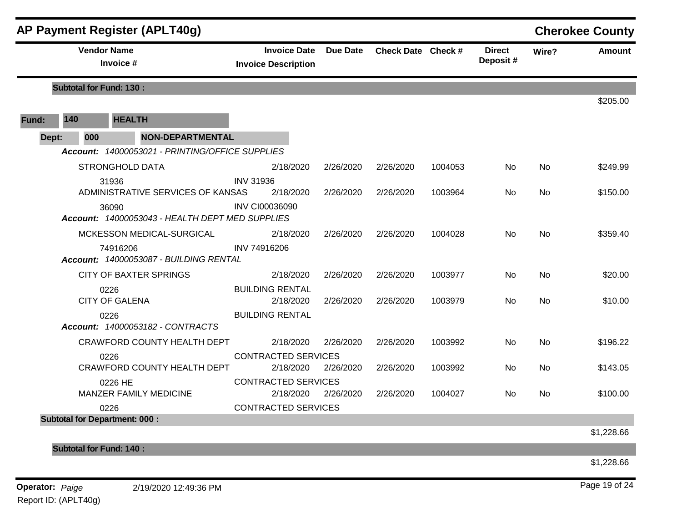|       |                                 | AP Payment Register (APLT40g)                            |                                                   |                 |                    |         |                           |           | <b>Cherokee County</b> |
|-------|---------------------------------|----------------------------------------------------------|---------------------------------------------------|-----------------|--------------------|---------|---------------------------|-----------|------------------------|
|       | <b>Vendor Name</b><br>Invoice # |                                                          | <b>Invoice Date</b><br><b>Invoice Description</b> | <b>Due Date</b> | Check Date Check # |         | <b>Direct</b><br>Deposit# | Wire?     | Amount                 |
|       | <b>Subtotal for Fund: 130:</b>  |                                                          |                                                   |                 |                    |         |                           |           | \$205.00               |
| Fund: | 140                             | <b>HEALTH</b>                                            |                                                   |                 |                    |         |                           |           |                        |
| Dept: | 000                             | <b>NON-DEPARTMENTAL</b>                                  |                                                   |                 |                    |         |                           |           |                        |
|       |                                 | Account: 14000053021 - PRINTING/OFFICE SUPPLIES          |                                                   |                 |                    |         |                           |           |                        |
|       |                                 | <b>STRONGHOLD DATA</b>                                   | 2/18/2020                                         | 2/26/2020       | 2/26/2020          | 1004053 | No.                       | No        | \$249.99               |
|       |                                 | 31936                                                    | <b>INV 31936</b>                                  |                 |                    |         |                           |           |                        |
|       |                                 | ADMINISTRATIVE SERVICES OF KANSAS                        | 2/18/2020                                         | 2/26/2020       | 2/26/2020          | 1003964 | No                        | No        | \$150.00               |
|       |                                 | 36090<br>Account: 14000053043 - HEALTH DEPT MED SUPPLIES | <b>INV CI00036090</b>                             |                 |                    |         |                           |           |                        |
|       |                                 | MCKESSON MEDICAL-SURGICAL                                | 2/18/2020                                         | 2/26/2020       | 2/26/2020          | 1004028 | No.                       | <b>No</b> | \$359.40               |
|       |                                 | 74916206<br>Account: 14000053087 - BUILDING RENTAL       | INV 74916206                                      |                 |                    |         |                           |           |                        |
|       |                                 | <b>CITY OF BAXTER SPRINGS</b>                            | 2/18/2020                                         | 2/26/2020       | 2/26/2020          | 1003977 | No                        | No        | \$20.00                |
|       |                                 | 0226                                                     | <b>BUILDING RENTAL</b>                            |                 |                    |         |                           |           |                        |
|       |                                 | <b>CITY OF GALENA</b>                                    | 2/18/2020                                         | 2/26/2020       | 2/26/2020          | 1003979 | No                        | No        | \$10.00                |
|       |                                 | 0226<br>Account: 14000053182 - CONTRACTS                 | <b>BUILDING RENTAL</b>                            |                 |                    |         |                           |           |                        |
|       |                                 | <b>CRAWFORD COUNTY HEALTH DEPT</b>                       | 2/18/2020                                         | 2/26/2020       | 2/26/2020          | 1003992 | No.                       | No        | \$196.22               |
|       |                                 | 0226                                                     | <b>CONTRACTED SERVICES</b>                        |                 |                    |         |                           |           |                        |
|       |                                 | CRAWFORD COUNTY HEALTH DEPT                              | 2/18/2020                                         | 2/26/2020       | 2/26/2020          | 1003992 | No.                       | No        | \$143.05               |
|       |                                 | 0226 HE                                                  | <b>CONTRACTED SERVICES</b>                        |                 |                    |         |                           |           |                        |
|       |                                 | MANZER FAMILY MEDICINE                                   | 2/18/2020                                         | 2/26/2020       | 2/26/2020          | 1004027 | No.                       | No        | \$100.00               |
|       |                                 | 0226                                                     | <b>CONTRACTED SERVICES</b>                        |                 |                    |         |                           |           |                        |
|       |                                 | <b>Subtotal for Department: 000:</b>                     |                                                   |                 |                    |         |                           |           |                        |
|       |                                 |                                                          |                                                   |                 |                    |         |                           |           | \$1,228.66             |
|       | <b>Subtotal for Fund: 140:</b>  |                                                          |                                                   |                 |                    |         |                           |           |                        |
|       |                                 |                                                          |                                                   |                 |                    |         |                           |           | \$1,228.66             |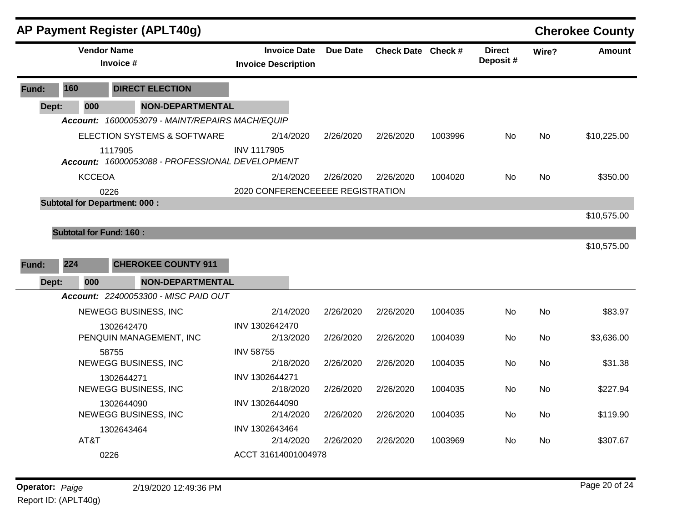|       |                                | <b>AP Payment Register (APLT40g)</b>                       |                                                   |                 |                    |         |                           |           | <b>Cherokee County</b> |
|-------|--------------------------------|------------------------------------------------------------|---------------------------------------------------|-----------------|--------------------|---------|---------------------------|-----------|------------------------|
|       |                                | <b>Vendor Name</b><br>Invoice #                            | <b>Invoice Date</b><br><b>Invoice Description</b> | <b>Due Date</b> | Check Date Check # |         | <b>Direct</b><br>Deposit# | Wire?     | <b>Amount</b>          |
| Fund: | 160                            | <b>DIRECT ELECTION</b>                                     |                                                   |                 |                    |         |                           |           |                        |
| Dept: | 000                            | <b>NON-DEPARTMENTAL</b>                                    |                                                   |                 |                    |         |                           |           |                        |
|       |                                | Account: 16000053079 - MAINT/REPAIRS MACH/EQUIP            |                                                   |                 |                    |         |                           |           |                        |
|       |                                | ELECTION SYSTEMS & SOFTWARE                                | 2/14/2020                                         | 2/26/2020       | 2/26/2020          | 1003996 | No.                       | <b>No</b> | \$10,225.00            |
|       |                                | 1117905<br>Account: 16000053088 - PROFESSIONAL DEVELOPMENT | <b>INV 1117905</b>                                |                 |                    |         |                           |           |                        |
|       | <b>KCCEOA</b>                  |                                                            | 2/14/2020                                         | 2/26/2020       | 2/26/2020          | 1004020 | No                        | No        | \$350.00               |
|       |                                | 0226                                                       | 2020 CONFERENCEEEEE REGISTRATION                  |                 |                    |         |                           |           |                        |
|       |                                | <b>Subtotal for Department: 000:</b>                       |                                                   |                 |                    |         |                           |           |                        |
|       |                                |                                                            |                                                   |                 |                    |         |                           |           | \$10,575.00            |
|       | <b>Subtotal for Fund: 160:</b> |                                                            |                                                   |                 |                    |         |                           |           |                        |
|       |                                |                                                            |                                                   |                 |                    |         |                           |           | \$10,575.00            |
| Fund: | 224                            | <b>CHEROKEE COUNTY 911</b>                                 |                                                   |                 |                    |         |                           |           |                        |
| Dept: | 000                            | <b>NON-DEPARTMENTAL</b>                                    |                                                   |                 |                    |         |                           |           |                        |
|       |                                | Account: 22400053300 - MISC PAID OUT                       |                                                   |                 |                    |         |                           |           |                        |
|       |                                | NEWEGG BUSINESS, INC                                       | 2/14/2020                                         | 2/26/2020       | 2/26/2020          | 1004035 | No                        | <b>No</b> | \$83.97                |
|       |                                | 1302642470                                                 | INV 1302642470                                    |                 |                    |         |                           |           |                        |
|       |                                | PENQUIN MANAGEMENT, INC                                    | 2/13/2020                                         | 2/26/2020       | 2/26/2020          | 1004039 | No.                       | No        | \$3,636.00             |
|       |                                | 58755                                                      | <b>INV 58755</b>                                  |                 |                    |         |                           |           |                        |
|       |                                | NEWEGG BUSINESS, INC                                       | 2/18/2020                                         | 2/26/2020       | 2/26/2020          | 1004035 | No                        | No        | \$31.38                |
|       |                                | 1302644271<br>NEWEGG BUSINESS, INC                         | INV 1302644271<br>2/18/2020                       | 2/26/2020       | 2/26/2020          | 1004035 | No                        | No        | \$227.94               |
|       |                                | 1302644090                                                 | INV 1302644090                                    |                 |                    |         |                           |           |                        |
|       |                                | NEWEGG BUSINESS, INC                                       | 2/14/2020                                         | 2/26/2020       | 2/26/2020          | 1004035 | No.                       | No        | \$119.90               |
|       |                                | 1302643464                                                 | INV 1302643464                                    |                 |                    |         |                           |           |                        |
|       | AT&T                           |                                                            | 2/14/2020                                         | 2/26/2020       | 2/26/2020          | 1003969 | No                        | No        | \$307.67               |
|       |                                | 0226                                                       | ACCT 31614001004978                               |                 |                    |         |                           |           |                        |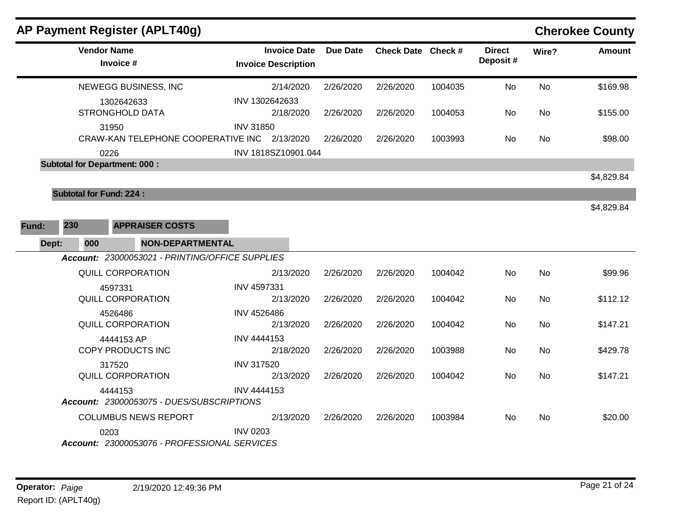|       |     |                    | <b>AP Payment Register (APLT40g)</b>            |                   |                                                   |           |                    |         |                           |           | <b>Cherokee County</b> |
|-------|-----|--------------------|-------------------------------------------------|-------------------|---------------------------------------------------|-----------|--------------------|---------|---------------------------|-----------|------------------------|
|       |     | <b>Vendor Name</b> | Invoice #                                       |                   | <b>Invoice Date</b><br><b>Invoice Description</b> | Due Date  | Check Date Check # |         | <b>Direct</b><br>Deposit# | Wire?     | <b>Amount</b>          |
|       |     |                    | NEWEGG BUSINESS, INC                            |                   | 2/14/2020                                         | 2/26/2020 | 2/26/2020          | 1004035 | <b>No</b>                 | <b>No</b> | \$169.98               |
|       |     |                    | 1302642633                                      |                   | INV 1302642633                                    |           |                    |         |                           |           |                        |
|       |     |                    | STRONGHOLD DATA                                 |                   | 2/18/2020                                         | 2/26/2020 | 2/26/2020          | 1004053 | No.                       | No        | \$155.00               |
|       |     |                    | 31950                                           | <b>INV 31850</b>  |                                                   |           |                    |         |                           |           |                        |
|       |     |                    | CRAW-KAN TELEPHONE COOPERATIVE INC 2/13/2020    |                   |                                                   | 2/26/2020 | 2/26/2020          | 1003993 | No.                       | No        | \$98.00                |
|       |     | 0226               |                                                 |                   | INV 1818SZ10901.044                               |           |                    |         |                           |           |                        |
|       |     |                    | <b>Subtotal for Department: 000:</b>            |                   |                                                   |           |                    |         |                           |           |                        |
|       |     |                    |                                                 |                   |                                                   |           |                    |         |                           |           | \$4,829.84             |
|       |     |                    | <b>Subtotal for Fund: 224:</b>                  |                   |                                                   |           |                    |         |                           |           |                        |
|       |     |                    |                                                 |                   |                                                   |           |                    |         |                           |           | \$4,829.84             |
| Fund: | 230 |                    | <b>APPRAISER COSTS</b>                          |                   |                                                   |           |                    |         |                           |           |                        |
| Dept: |     | 000                | <b>NON-DEPARTMENTAL</b>                         |                   |                                                   |           |                    |         |                           |           |                        |
|       |     |                    | Account: 23000053021 - PRINTING/OFFICE SUPPLIES |                   |                                                   |           |                    |         |                           |           |                        |
|       |     |                    | <b>QUILL CORPORATION</b>                        |                   | 2/13/2020                                         | 2/26/2020 | 2/26/2020          | 1004042 | No                        | No        | \$99.96                |
|       |     |                    | 4597331                                         | INV 4597331       |                                                   |           |                    |         |                           |           |                        |
|       |     |                    | <b>QUILL CORPORATION</b>                        |                   | 2/13/2020                                         | 2/26/2020 | 2/26/2020          | 1004042 | No                        | No        | \$112.12               |
|       |     |                    | 4526486                                         | INV 4526486       |                                                   |           |                    |         |                           |           |                        |
|       |     |                    | <b>QUILL CORPORATION</b>                        |                   | 2/13/2020                                         | 2/26/2020 | 2/26/2020          | 1004042 | No                        | No        | \$147.21               |
|       |     |                    | 4444153 AP                                      | INV 4444153       |                                                   |           |                    |         |                           |           |                        |
|       |     |                    | <b>COPY PRODUCTS INC</b>                        |                   | 2/18/2020                                         | 2/26/2020 | 2/26/2020          | 1003988 | No.                       | No        | \$429.78               |
|       |     |                    | 317520                                          | <b>INV 317520</b> |                                                   |           |                    |         |                           |           |                        |
|       |     |                    | <b>QUILL CORPORATION</b>                        |                   | 2/13/2020                                         | 2/26/2020 | 2/26/2020          | 1004042 | <b>No</b>                 | No        | \$147.21               |
|       |     |                    | 4444153                                         | INV 4444153       |                                                   |           |                    |         |                           |           |                        |
|       |     |                    | Account: 23000053075 - DUES/SUBSCRIPTIONS       |                   |                                                   |           |                    |         |                           |           |                        |
|       |     |                    | <b>COLUMBUS NEWS REPORT</b>                     |                   | 2/13/2020                                         | 2/26/2020 | 2/26/2020          | 1003984 | No                        | No        | \$20.00                |
|       |     | 0203               |                                                 | <b>INV 0203</b>   |                                                   |           |                    |         |                           |           |                        |
|       |     |                    | Account: 23000053076 - PROFESSIONAL SERVICES    |                   |                                                   |           |                    |         |                           |           |                        |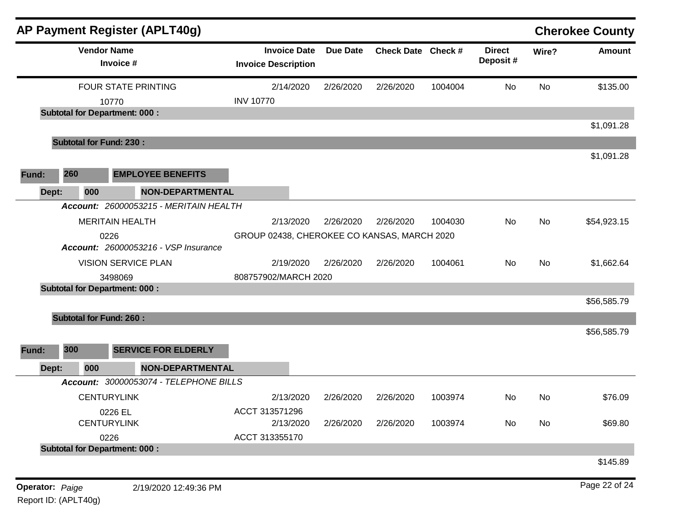|                        |     | AP Payment Register (APLT40g)                 |                                                   |                 |                    |         |                           |       | <b>Cherokee County</b> |
|------------------------|-----|-----------------------------------------------|---------------------------------------------------|-----------------|--------------------|---------|---------------------------|-------|------------------------|
|                        |     | <b>Vendor Name</b><br>Invoice #               | <b>Invoice Date</b><br><b>Invoice Description</b> | <b>Due Date</b> | Check Date Check # |         | <b>Direct</b><br>Deposit# | Wire? | <b>Amount</b>          |
|                        |     | <b>FOUR STATE PRINTING</b>                    | 2/14/2020                                         | 2/26/2020       | 2/26/2020          | 1004004 | No                        | No    | \$135.00               |
|                        |     | 10770                                         | <b>INV 10770</b>                                  |                 |                    |         |                           |       |                        |
|                        |     | <b>Subtotal for Department: 000:</b>          |                                                   |                 |                    |         |                           |       | \$1,091.28             |
|                        |     | <b>Subtotal for Fund: 230:</b>                |                                                   |                 |                    |         |                           |       |                        |
|                        |     |                                               |                                                   |                 |                    |         |                           |       | \$1,091.28             |
| Fund:                  | 260 | <b>EMPLOYEE BENEFITS</b>                      |                                                   |                 |                    |         |                           |       |                        |
| Dept:                  | 000 | <b>NON-DEPARTMENTAL</b>                       |                                                   |                 |                    |         |                           |       |                        |
|                        |     | <b>Account: 26000053215 - MERITAIN HEALTH</b> |                                                   |                 |                    |         |                           |       |                        |
|                        |     | <b>MERITAIN HEALTH</b>                        | 2/13/2020                                         | 2/26/2020       | 2/26/2020          | 1004030 | No                        | No    | \$54,923.15            |
|                        |     | 0226                                          | GROUP 02438, CHEROKEE CO KANSAS, MARCH 2020       |                 |                    |         |                           |       |                        |
|                        |     | <b>Account: 26000053216 - VSP Insurance</b>   |                                                   |                 |                    |         |                           |       |                        |
|                        |     | <b>VISION SERVICE PLAN</b>                    | 2/19/2020                                         | 2/26/2020       | 2/26/2020          | 1004061 | No                        | No    | \$1,662.64             |
|                        |     | 3498069                                       | 808757902/MARCH 2020                              |                 |                    |         |                           |       |                        |
|                        |     | <b>Subtotal for Department: 000:</b>          |                                                   |                 |                    |         |                           |       |                        |
|                        |     |                                               |                                                   |                 |                    |         |                           |       | \$56,585.79            |
|                        |     | <b>Subtotal for Fund: 260:</b>                |                                                   |                 |                    |         |                           |       |                        |
|                        |     |                                               |                                                   |                 |                    |         |                           |       | \$56,585.79            |
| Fund:                  | 300 | <b>SERVICE FOR ELDERLY</b>                    |                                                   |                 |                    |         |                           |       |                        |
| Dept:                  | 000 | <b>NON-DEPARTMENTAL</b>                       |                                                   |                 |                    |         |                           |       |                        |
|                        |     | Account: 30000053074 - TELEPHONE BILLS        |                                                   |                 |                    |         |                           |       |                        |
|                        |     | <b>CENTURYLINK</b>                            | 2/13/2020                                         | 2/26/2020       | 2/26/2020          | 1003974 | No                        | No    | \$76.09                |
|                        |     | 0226 EL                                       | ACCT 313571296                                    |                 |                    |         |                           |       |                        |
|                        |     | <b>CENTURYLINK</b>                            | 2/13/2020                                         | 2/26/2020       | 2/26/2020          | 1003974 | No                        | No    | \$69.80                |
|                        |     | 0226                                          | ACCT 313355170                                    |                 |                    |         |                           |       |                        |
|                        |     | <b>Subtotal for Department: 000:</b>          |                                                   |                 |                    |         |                           |       |                        |
|                        |     |                                               |                                                   |                 |                    |         |                           |       | \$145.89               |
| <b>Operator: Paige</b> |     | 2/19/2020 12:49:36 PM                         |                                                   |                 |                    |         |                           |       | Page 22 of 24          |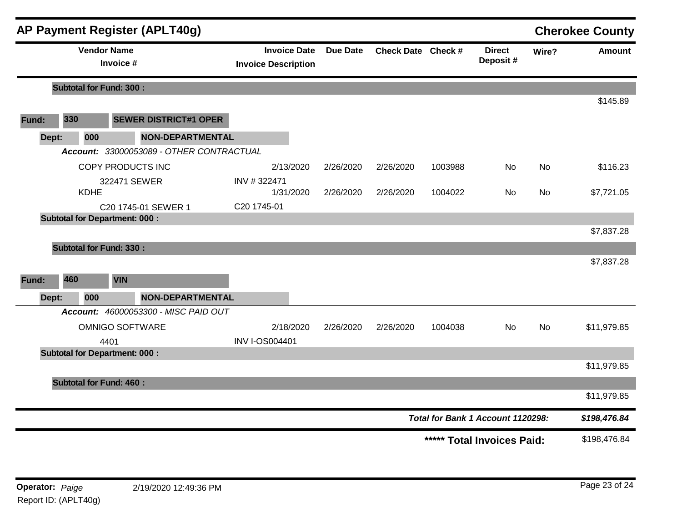|       |       |                                      |            | <b>AP Payment Register (APLT40g)</b>     |                                                   |                 |                    |         |                                   |           | <b>Cherokee County</b> |
|-------|-------|--------------------------------------|------------|------------------------------------------|---------------------------------------------------|-----------------|--------------------|---------|-----------------------------------|-----------|------------------------|
|       |       | <b>Vendor Name</b>                   | Invoice #  |                                          | <b>Invoice Date</b><br><b>Invoice Description</b> | <b>Due Date</b> | Check Date Check # |         | <b>Direct</b><br>Deposit#         | Wire?     | Amount                 |
|       |       | <b>Subtotal for Fund: 300:</b>       |            |                                          |                                                   |                 |                    |         |                                   |           |                        |
|       |       |                                      |            |                                          |                                                   |                 |                    |         |                                   |           | \$145.89               |
| Fund: | 330   |                                      |            | <b>SEWER DISTRICT#1 OPER</b>             |                                                   |                 |                    |         |                                   |           |                        |
|       | Dept: | 000                                  |            | <b>NON-DEPARTMENTAL</b>                  |                                                   |                 |                    |         |                                   |           |                        |
|       |       |                                      |            | Account: 33000053089 - OTHER CONTRACTUAL |                                                   |                 |                    |         |                                   |           |                        |
|       |       |                                      |            | COPY PRODUCTS INC                        | 2/13/2020                                         | 2/26/2020       | 2/26/2020          | 1003988 | No                                | <b>No</b> | \$116.23               |
|       |       | <b>KDHE</b>                          |            | 322471 SEWER                             | INV #322471<br>1/31/2020                          | 2/26/2020       | 2/26/2020          | 1004022 | No                                | No        | \$7,721.05             |
|       |       |                                      |            | C20 1745-01 SEWER 1                      | C20 1745-01                                       |                 |                    |         |                                   |           |                        |
|       |       | <b>Subtotal for Department: 000:</b> |            |                                          |                                                   |                 |                    |         |                                   |           |                        |
|       |       |                                      |            |                                          |                                                   |                 |                    |         |                                   |           | \$7,837.28             |
|       |       | <b>Subtotal for Fund: 330:</b>       |            |                                          |                                                   |                 |                    |         |                                   |           |                        |
|       |       |                                      |            |                                          |                                                   |                 |                    |         |                                   |           | \$7,837.28             |
| Fund: | 460   |                                      | <b>VIN</b> |                                          |                                                   |                 |                    |         |                                   |           |                        |
|       | Dept: | 000                                  |            | <b>NON-DEPARTMENTAL</b>                  |                                                   |                 |                    |         |                                   |           |                        |
|       |       |                                      |            | Account: 46000053300 - MISC PAID OUT     |                                                   |                 |                    |         |                                   |           |                        |
|       |       |                                      |            | <b>OMNIGO SOFTWARE</b>                   | 2/18/2020                                         | 2/26/2020       | 2/26/2020          | 1004038 | <b>No</b>                         | No        | \$11,979.85            |
|       |       |                                      | 4401       |                                          | <b>INV I-OS004401</b>                             |                 |                    |         |                                   |           |                        |
|       |       | <b>Subtotal for Department: 000:</b> |            |                                          |                                                   |                 |                    |         |                                   |           |                        |
|       |       |                                      |            |                                          |                                                   |                 |                    |         |                                   |           | \$11,979.85            |
|       |       | <b>Subtotal for Fund: 460:</b>       |            |                                          |                                                   |                 |                    |         |                                   |           |                        |
|       |       |                                      |            |                                          |                                                   |                 |                    |         |                                   |           | \$11,979.85            |
|       |       |                                      |            |                                          |                                                   |                 |                    |         | Total for Bank 1 Account 1120298: |           | \$198,476.84           |
|       |       |                                      |            |                                          |                                                   |                 |                    | *****   | <b>Total Invoices Paid:</b>       |           | \$198,476.84           |